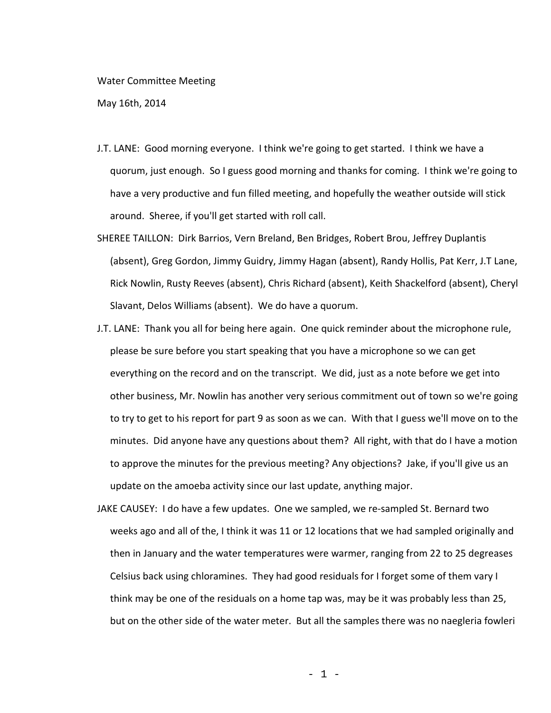## Water Committee Meeting

May 16th, 2014

- J.T. LANE: Good morning everyone. I think we're going to get started. I think we have a quorum, just enough. So I guess good morning and thanks for coming. I think we're going to have a very productive and fun filled meeting, and hopefully the weather outside will stick around. Sheree, if you'll get started with roll call.
- SHEREE TAILLON: Dirk Barrios, Vern Breland, Ben Bridges, Robert Brou, Jeffrey Duplantis (absent), Greg Gordon, Jimmy Guidry, Jimmy Hagan (absent), Randy Hollis, Pat Kerr, J.T Lane, Rick Nowlin, Rusty Reeves (absent), Chris Richard (absent), Keith Shackelford (absent), Cheryl Slavant, Delos Williams (absent). We do have a quorum.
- J.T. LANE: Thank you all for being here again. One quick reminder about the microphone rule, please be sure before you start speaking that you have a microphone so we can get everything on the record and on the transcript. We did, just as a note before we get into other business, Mr. Nowlin has another very serious commitment out of town so we're going to try to get to his report for part 9 as soon as we can. With that I guess we'll move on to the minutes. Did anyone have any questions about them? All right, with that do I have a motion to approve the minutes for the previous meeting? Any objections? Jake, if you'll give us an update on the amoeba activity since our last update, anything major.
- JAKE CAUSEY: I do have a few updates. One we sampled, we re-sampled St. Bernard two weeks ago and all of the, I think it was 11 or 12 locations that we had sampled originally and then in January and the water temperatures were warmer, ranging from 22 to 25 degreases Celsius back using chloramines. They had good residuals for I forget some of them vary I think may be one of the residuals on a home tap was, may be it was probably less than 25, but on the other side of the water meter. But all the samples there was no naegleria fowleri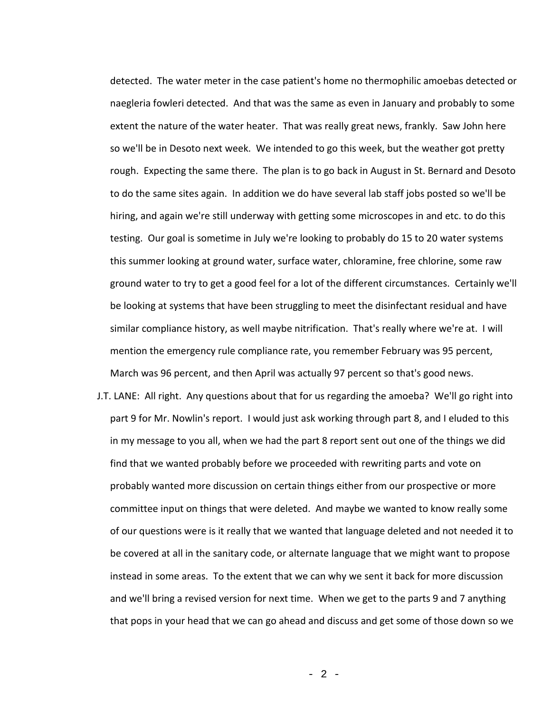detected. The water meter in the case patient's home no thermophilic amoebas detected or naegleria fowleri detected. And that was the same as even in January and probably to some extent the nature of the water heater. That was really great news, frankly. Saw John here so we'll be in Desoto next week. We intended to go this week, but the weather got pretty rough. Expecting the same there. The plan is to go back in August in St. Bernard and Desoto to do the same sites again. In addition we do have several lab staff jobs posted so we'll be hiring, and again we're still underway with getting some microscopes in and etc. to do this testing. Our goal is sometime in July we're looking to probably do 15 to 20 water systems this summer looking at ground water, surface water, chloramine, free chlorine, some raw ground water to try to get a good feel for a lot of the different circumstances. Certainly we'll be looking at systems that have been struggling to meet the disinfectant residual and have similar compliance history, as well maybe nitrification. That's really where we're at. I will mention the emergency rule compliance rate, you remember February was 95 percent, March was 96 percent, and then April was actually 97 percent so that's good news.

J.T. LANE: All right. Any questions about that for us regarding the amoeba? We'll go right into part 9 for Mr. Nowlin's report. I would just ask working through part 8, and I eluded to this in my message to you all, when we had the part 8 report sent out one of the things we did find that we wanted probably before we proceeded with rewriting parts and vote on probably wanted more discussion on certain things either from our prospective or more committee input on things that were deleted. And maybe we wanted to know really some of our questions were is it really that we wanted that language deleted and not needed it to be covered at all in the sanitary code, or alternate language that we might want to propose instead in some areas. To the extent that we can why we sent it back for more discussion and we'll bring a revised version for next time. When we get to the parts 9 and 7 anything that pops in your head that we can go ahead and discuss and get some of those down so we

- 2 -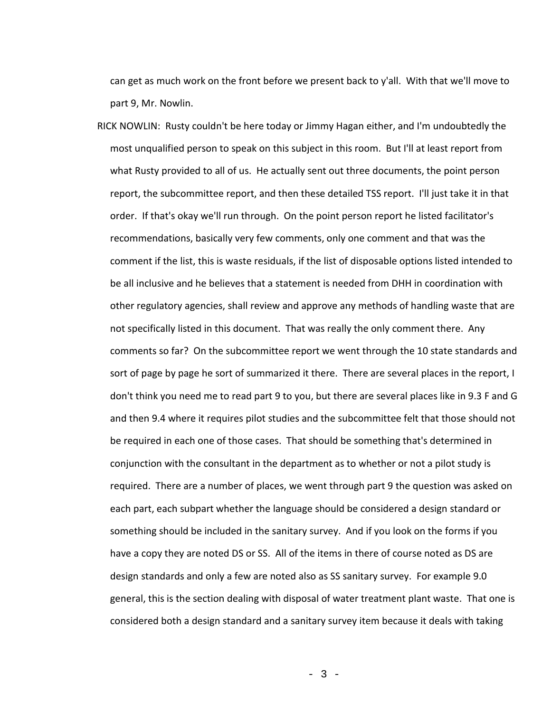can get as much work on the front before we present back to y'all. With that we'll move to part 9, Mr. Nowlin.

RICK NOWLIN: Rusty couldn't be here today or Jimmy Hagan either, and I'm undoubtedly the most unqualified person to speak on this subject in this room. But I'll at least report from what Rusty provided to all of us. He actually sent out three documents, the point person report, the subcommittee report, and then these detailed TSS report. I'll just take it in that order. If that's okay we'll run through. On the point person report he listed facilitator's recommendations, basically very few comments, only one comment and that was the comment if the list, this is waste residuals, if the list of disposable options listed intended to be all inclusive and he believes that a statement is needed from DHH in coordination with other regulatory agencies, shall review and approve any methods of handling waste that are not specifically listed in this document. That was really the only comment there. Any comments so far? On the subcommittee report we went through the 10 state standards and sort of page by page he sort of summarized it there. There are several places in the report, I don't think you need me to read part 9 to you, but there are several places like in 9.3 F and G and then 9.4 where it requires pilot studies and the subcommittee felt that those should not be required in each one of those cases. That should be something that's determined in conjunction with the consultant in the department as to whether or not a pilot study is required. There are a number of places, we went through part 9 the question was asked on each part, each subpart whether the language should be considered a design standard or something should be included in the sanitary survey. And if you look on the forms if you have a copy they are noted DS or SS. All of the items in there of course noted as DS are design standards and only a few are noted also as SS sanitary survey. For example 9.0 general, this is the section dealing with disposal of water treatment plant waste. That one is considered both a design standard and a sanitary survey item because it deals with taking

- 3 -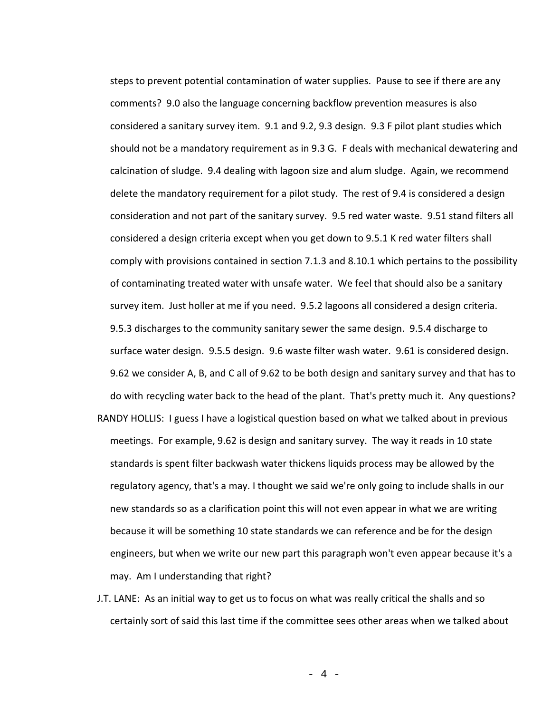steps to prevent potential contamination of water supplies. Pause to see if there are any comments? 9.0 also the language concerning backflow prevention measures is also considered a sanitary survey item. 9.1 and 9.2, 9.3 design. 9.3 F pilot plant studies which should not be a mandatory requirement as in 9.3 G. F deals with mechanical dewatering and calcination of sludge. 9.4 dealing with lagoon size and alum sludge. Again, we recommend delete the mandatory requirement for a pilot study. The rest of 9.4 is considered a design consideration and not part of the sanitary survey. 9.5 red water waste. 9.51 stand filters all considered a design criteria except when you get down to 9.5.1 K red water filters shall comply with provisions contained in section 7.1.3 and 8.10.1 which pertains to the possibility of contaminating treated water with unsafe water. We feel that should also be a sanitary survey item. Just holler at me if you need. 9.5.2 lagoons all considered a design criteria. 9.5.3 discharges to the community sanitary sewer the same design. 9.5.4 discharge to surface water design. 9.5.5 design. 9.6 waste filter wash water. 9.61 is considered design. 9.62 we consider A, B, and C all of 9.62 to be both design and sanitary survey and that has to do with recycling water back to the head of the plant. That's pretty much it. Any questions? RANDY HOLLIS: I guess I have a logistical question based on what we talked about in previous meetings. For example, 9.62 is design and sanitary survey. The way it reads in 10 state standards is spent filter backwash water thickens liquids process may be allowed by the regulatory agency, that's a may. I thought we said we're only going to include shalls in our new standards so as a clarification point this will not even appear in what we are writing because it will be something 10 state standards we can reference and be for the design engineers, but when we write our new part this paragraph won't even appear because it's a may. Am I understanding that right?

J.T. LANE: As an initial way to get us to focus on what was really critical the shalls and so certainly sort of said this last time if the committee sees other areas when we talked about

- 4 -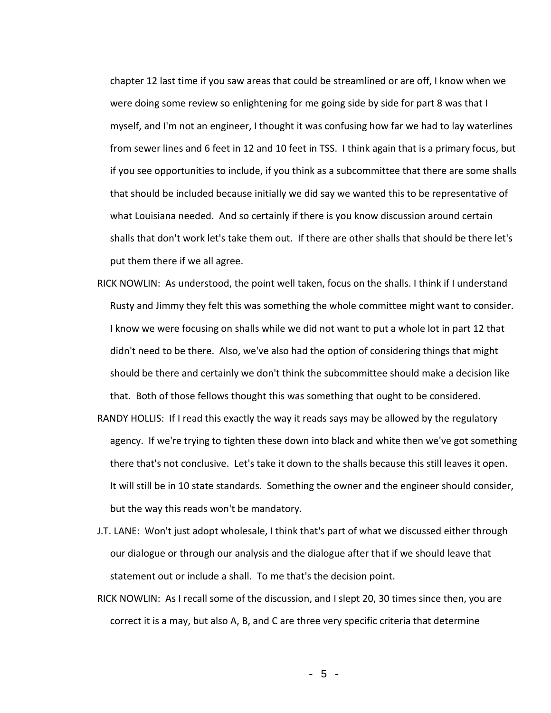chapter 12 last time if you saw areas that could be streamlined or are off, I know when we were doing some review so enlightening for me going side by side for part 8 was that I myself, and I'm not an engineer, I thought it was confusing how far we had to lay waterlines from sewer lines and 6 feet in 12 and 10 feet in TSS. I think again that is a primary focus, but if you see opportunities to include, if you think as a subcommittee that there are some shalls that should be included because initially we did say we wanted this to be representative of what Louisiana needed. And so certainly if there is you know discussion around certain shalls that don't work let's take them out. If there are other shalls that should be there let's put them there if we all agree.

- RICK NOWLIN: As understood, the point well taken, focus on the shalls. I think if I understand Rusty and Jimmy they felt this was something the whole committee might want to consider. I know we were focusing on shalls while we did not want to put a whole lot in part 12 that didn't need to be there. Also, we've also had the option of considering things that might should be there and certainly we don't think the subcommittee should make a decision like that. Both of those fellows thought this was something that ought to be considered.
- RANDY HOLLIS: If I read this exactly the way it reads says may be allowed by the regulatory agency. If we're trying to tighten these down into black and white then we've got something there that's not conclusive. Let's take it down to the shalls because this still leaves it open. It will still be in 10 state standards. Something the owner and the engineer should consider, but the way this reads won't be mandatory.
- J.T. LANE: Won't just adopt wholesale, I think that's part of what we discussed either through our dialogue or through our analysis and the dialogue after that if we should leave that statement out or include a shall. To me that's the decision point.
- RICK NOWLIN: As I recall some of the discussion, and I slept 20, 30 times since then, you are correct it is a may, but also A, B, and C are three very specific criteria that determine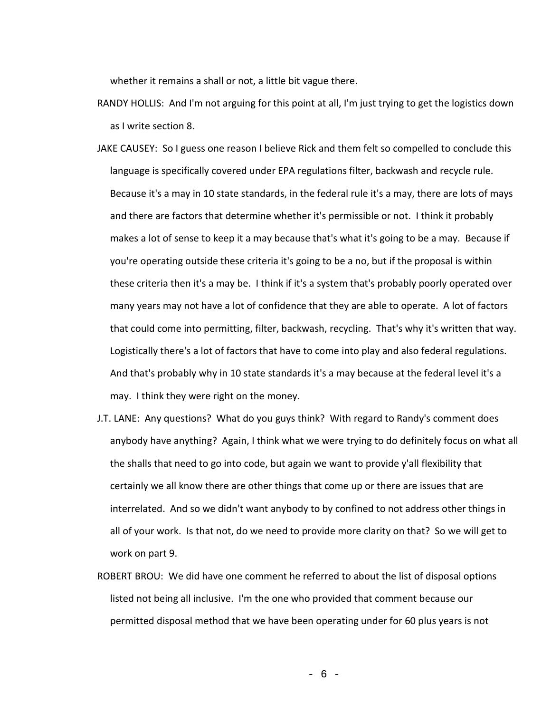whether it remains a shall or not, a little bit vague there.

- RANDY HOLLIS: And I'm not arguing for this point at all, I'm just trying to get the logistics down as I write section 8.
- JAKE CAUSEY: So I guess one reason I believe Rick and them felt so compelled to conclude this language is specifically covered under EPA regulations filter, backwash and recycle rule. Because it's a may in 10 state standards, in the federal rule it's a may, there are lots of mays and there are factors that determine whether it's permissible or not. I think it probably makes a lot of sense to keep it a may because that's what it's going to be a may. Because if you're operating outside these criteria it's going to be a no, but if the proposal is within these criteria then it's a may be. I think if it's a system that's probably poorly operated over many years may not have a lot of confidence that they are able to operate. A lot of factors that could come into permitting, filter, backwash, recycling. That's why it's written that way. Logistically there's a lot of factors that have to come into play and also federal regulations. And that's probably why in 10 state standards it's a may because at the federal level it's a may. I think they were right on the money.
- J.T. LANE: Any questions? What do you guys think? With regard to Randy's comment does anybody have anything? Again, I think what we were trying to do definitely focus on what all the shalls that need to go into code, but again we want to provide y'all flexibility that certainly we all know there are other things that come up or there are issues that are interrelated. And so we didn't want anybody to by confined to not address other things in all of your work. Is that not, do we need to provide more clarity on that? So we will get to work on part 9.
- ROBERT BROU: We did have one comment he referred to about the list of disposal options listed not being all inclusive. I'm the one who provided that comment because our permitted disposal method that we have been operating under for 60 plus years is not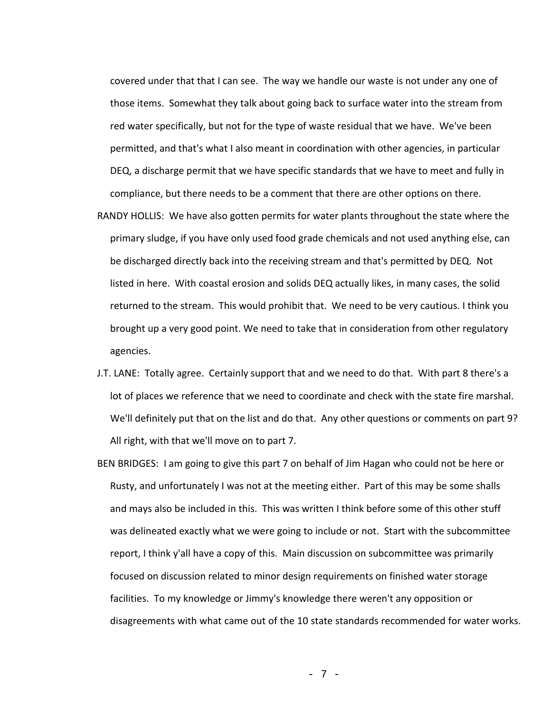covered under that that I can see. The way we handle our waste is not under any one of those items. Somewhat they talk about going back to surface water into the stream from red water specifically, but not for the type of waste residual that we have. We've been permitted, and that's what I also meant in coordination with other agencies, in particular DEQ, a discharge permit that we have specific standards that we have to meet and fully in compliance, but there needs to be a comment that there are other options on there.

- RANDY HOLLIS: We have also gotten permits for water plants throughout the state where the primary sludge, if you have only used food grade chemicals and not used anything else, can be discharged directly back into the receiving stream and that's permitted by DEQ. Not listed in here. With coastal erosion and solids DEQ actually likes, in many cases, the solid returned to the stream. This would prohibit that. We need to be very cautious. I think you brought up a very good point. We need to take that in consideration from other regulatory agencies.
- J.T. LANE: Totally agree. Certainly support that and we need to do that. With part 8 there's a lot of places we reference that we need to coordinate and check with the state fire marshal. We'll definitely put that on the list and do that. Any other questions or comments on part 9? All right, with that we'll move on to part 7.
- BEN BRIDGES: I am going to give this part 7 on behalf of Jim Hagan who could not be here or Rusty, and unfortunately I was not at the meeting either. Part of this may be some shalls and mays also be included in this. This was written I think before some of this other stuff was delineated exactly what we were going to include or not. Start with the subcommittee report, I think y'all have a copy of this. Main discussion on subcommittee was primarily focused on discussion related to minor design requirements on finished water storage facilities. To my knowledge or Jimmy's knowledge there weren't any opposition or disagreements with what came out of the 10 state standards recommended for water works.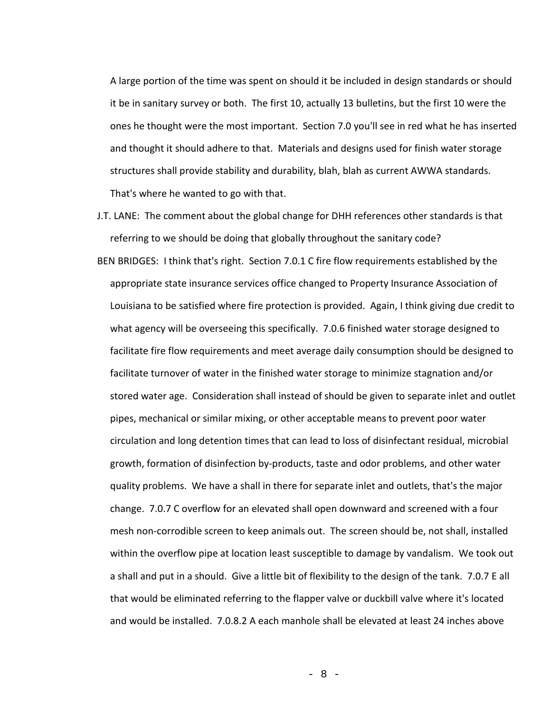A large portion of the time was spent on should it be included in design standards or should it be in sanitary survey or both. The first 10, actually 13 bulletins, but the first 10 were the ones he thought were the most important. Section 7.0 you'll see in red what he has inserted and thought it should adhere to that. Materials and designs used for finish water storage structures shall provide stability and durability, blah, blah as current AWWA standards. That's where he wanted to go with that.

J.T. LANE: The comment about the global change for DHH references other standards is that referring to we should be doing that globally throughout the sanitary code? BEN BRIDGES: I think that's right. Section 7.0.1 C fire flow requirements established by the appropriate state insurance services office changed to Property Insurance Association of Louisiana to be satisfied where fire protection is provided. Again, I think giving due credit to what agency will be overseeing this specifically. 7.0.6 finished water storage designed to facilitate fire flow requirements and meet average daily consumption should be designed to facilitate turnover of water in the finished water storage to minimize stagnation and/or stored water age. Consideration shall instead of should be given to separate inlet and outlet pipes, mechanical or similar mixing, or other acceptable means to prevent poor water circulation and long detention times that can lead to loss of disinfectant residual, microbial growth, formation of disinfection by-products, taste and odor problems, and other water quality problems. We have a shall in there for separate inlet and outlets, that's the major change. 7.0.7 C overflow for an elevated shall open downward and screened with a four mesh non-corrodible screen to keep animals out. The screen should be, not shall, installed within the overflow pipe at location least susceptible to damage by vandalism. We took out a shall and put in a should. Give a little bit of flexibility to the design of the tank. 7.0.7 E all that would be eliminated referring to the flapper valve or duckbill valve where it's located and would be installed. 7.0.8.2 A each manhole shall be elevated at least 24 inches above

- 8 -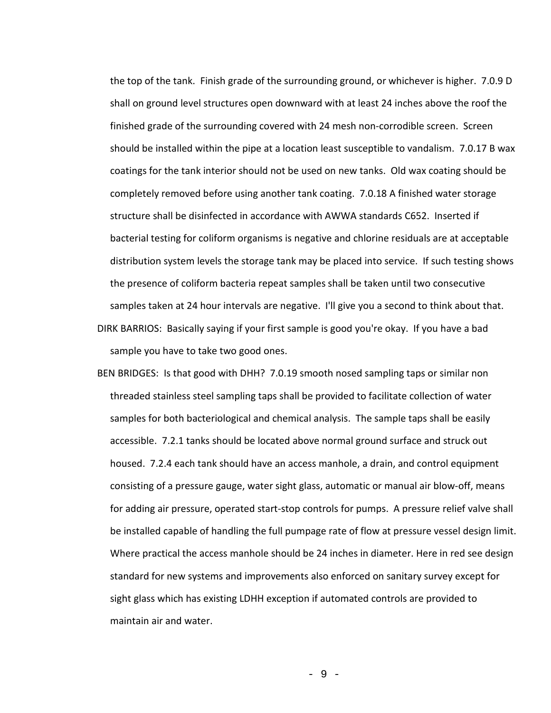the top of the tank. Finish grade of the surrounding ground, or whichever is higher. 7.0.9 D shall on ground level structures open downward with at least 24 inches above the roof the finished grade of the surrounding covered with 24 mesh non-corrodible screen. Screen should be installed within the pipe at a location least susceptible to vandalism. 7.0.17 B wax coatings for the tank interior should not be used on new tanks. Old wax coating should be completely removed before using another tank coating. 7.0.18 A finished water storage structure shall be disinfected in accordance with AWWA standards C652. Inserted if bacterial testing for coliform organisms is negative and chlorine residuals are at acceptable distribution system levels the storage tank may be placed into service. If such testing shows the presence of coliform bacteria repeat samples shall be taken until two consecutive samples taken at 24 hour intervals are negative. I'll give you a second to think about that.

- DIRK BARRIOS: Basically saying if your first sample is good you're okay. If you have a bad sample you have to take two good ones.
- BEN BRIDGES: Is that good with DHH? 7.0.19 smooth nosed sampling taps or similar non threaded stainless steel sampling taps shall be provided to facilitate collection of water samples for both bacteriological and chemical analysis. The sample taps shall be easily accessible. 7.2.1 tanks should be located above normal ground surface and struck out housed. 7.2.4 each tank should have an access manhole, a drain, and control equipment consisting of a pressure gauge, water sight glass, automatic or manual air blow-off, means for adding air pressure, operated start-stop controls for pumps. A pressure relief valve shall be installed capable of handling the full pumpage rate of flow at pressure vessel design limit. Where practical the access manhole should be 24 inches in diameter. Here in red see design standard for new systems and improvements also enforced on sanitary survey except for sight glass which has existing LDHH exception if automated controls are provided to maintain air and water.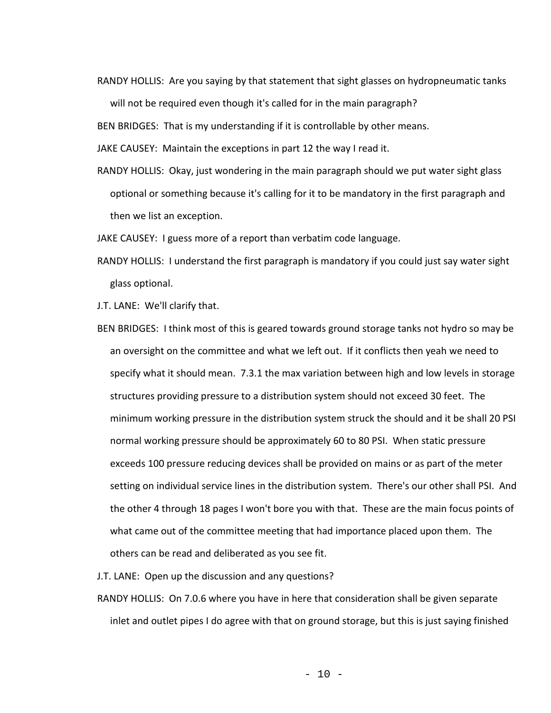RANDY HOLLIS: Are you saying by that statement that sight glasses on hydropneumatic tanks will not be required even though it's called for in the main paragraph?

BEN BRIDGES: That is my understanding if it is controllable by other means.

JAKE CAUSEY: Maintain the exceptions in part 12 the way I read it.

RANDY HOLLIS: Okay, just wondering in the main paragraph should we put water sight glass optional or something because it's calling for it to be mandatory in the first paragraph and then we list an exception.

JAKE CAUSEY: I guess more of a report than verbatim code language.

RANDY HOLLIS: I understand the first paragraph is mandatory if you could just say water sight glass optional.

J.T. LANE: We'll clarify that.

BEN BRIDGES: I think most of this is geared towards ground storage tanks not hydro so may be an oversight on the committee and what we left out. If it conflicts then yeah we need to specify what it should mean. 7.3.1 the max variation between high and low levels in storage structures providing pressure to a distribution system should not exceed 30 feet. The minimum working pressure in the distribution system struck the should and it be shall 20 PSI normal working pressure should be approximately 60 to 80 PSI. When static pressure exceeds 100 pressure reducing devices shall be provided on mains or as part of the meter setting on individual service lines in the distribution system. There's our other shall PSI. And the other 4 through 18 pages I won't bore you with that. These are the main focus points of what came out of the committee meeting that had importance placed upon them. The others can be read and deliberated as you see fit.

J.T. LANE: Open up the discussion and any questions?

RANDY HOLLIS: On 7.0.6 where you have in here that consideration shall be given separate inlet and outlet pipes I do agree with that on ground storage, but this is just saying finished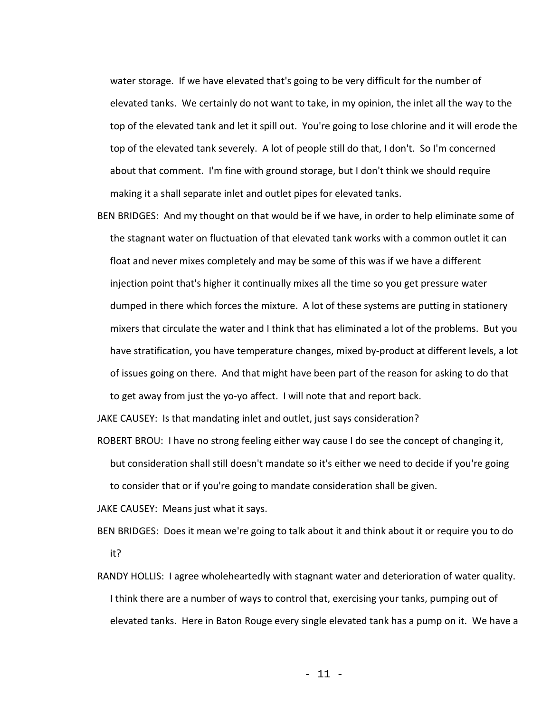water storage. If we have elevated that's going to be very difficult for the number of elevated tanks. We certainly do not want to take, in my opinion, the inlet all the way to the top of the elevated tank and let it spill out. You're going to lose chlorine and it will erode the top of the elevated tank severely. A lot of people still do that, I don't. So I'm concerned about that comment. I'm fine with ground storage, but I don't think we should require making it a shall separate inlet and outlet pipes for elevated tanks.

BEN BRIDGES: And my thought on that would be if we have, in order to help eliminate some of the stagnant water on fluctuation of that elevated tank works with a common outlet it can float and never mixes completely and may be some of this was if we have a different injection point that's higher it continually mixes all the time so you get pressure water dumped in there which forces the mixture. A lot of these systems are putting in stationery mixers that circulate the water and I think that has eliminated a lot of the problems. But you have stratification, you have temperature changes, mixed by-product at different levels, a lot of issues going on there. And that might have been part of the reason for asking to do that to get away from just the yo-yo affect. I will note that and report back.

JAKE CAUSEY: Is that mandating inlet and outlet, just says consideration?

ROBERT BROU: I have no strong feeling either way cause I do see the concept of changing it, but consideration shall still doesn't mandate so it's either we need to decide if you're going to consider that or if you're going to mandate consideration shall be given.

JAKE CAUSEY: Means just what it says.

- BEN BRIDGES: Does it mean we're going to talk about it and think about it or require you to do it?
- RANDY HOLLIS: I agree wholeheartedly with stagnant water and deterioration of water quality. I think there are a number of ways to control that, exercising your tanks, pumping out of elevated tanks. Here in Baton Rouge every single elevated tank has a pump on it. We have a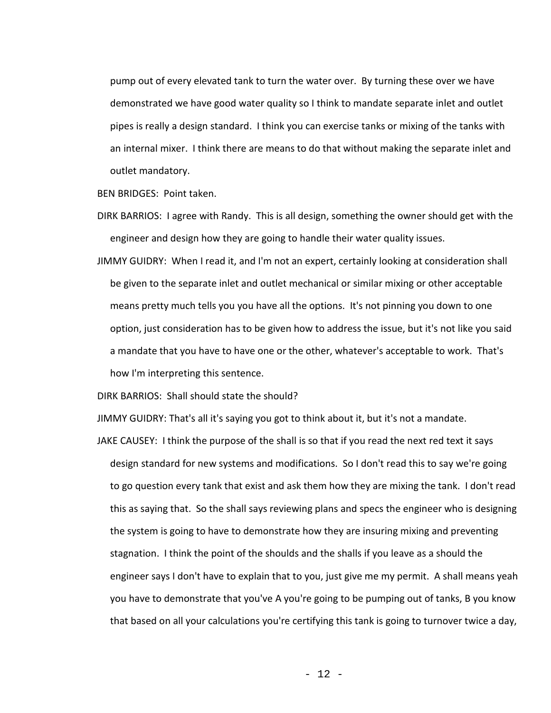pump out of every elevated tank to turn the water over. By turning these over we have demonstrated we have good water quality so I think to mandate separate inlet and outlet pipes is really a design standard. I think you can exercise tanks or mixing of the tanks with an internal mixer. I think there are means to do that without making the separate inlet and outlet mandatory.

BEN BRIDGES: Point taken.

- DIRK BARRIOS: I agree with Randy. This is all design, something the owner should get with the engineer and design how they are going to handle their water quality issues.
- JIMMY GUIDRY: When I read it, and I'm not an expert, certainly looking at consideration shall be given to the separate inlet and outlet mechanical or similar mixing or other acceptable means pretty much tells you you have all the options. It's not pinning you down to one option, just consideration has to be given how to address the issue, but it's not like you said a mandate that you have to have one or the other, whatever's acceptable to work. That's how I'm interpreting this sentence.

DIRK BARRIOS: Shall should state the should?

JIMMY GUIDRY: That's all it's saying you got to think about it, but it's not a mandate.

JAKE CAUSEY: I think the purpose of the shall is so that if you read the next red text it says design standard for new systems and modifications. So I don't read this to say we're going to go question every tank that exist and ask them how they are mixing the tank. I don't read this as saying that. So the shall says reviewing plans and specs the engineer who is designing the system is going to have to demonstrate how they are insuring mixing and preventing stagnation. I think the point of the shoulds and the shalls if you leave as a should the engineer says I don't have to explain that to you, just give me my permit. A shall means yeah you have to demonstrate that you've A you're going to be pumping out of tanks, B you know that based on all your calculations you're certifying this tank is going to turnover twice a day,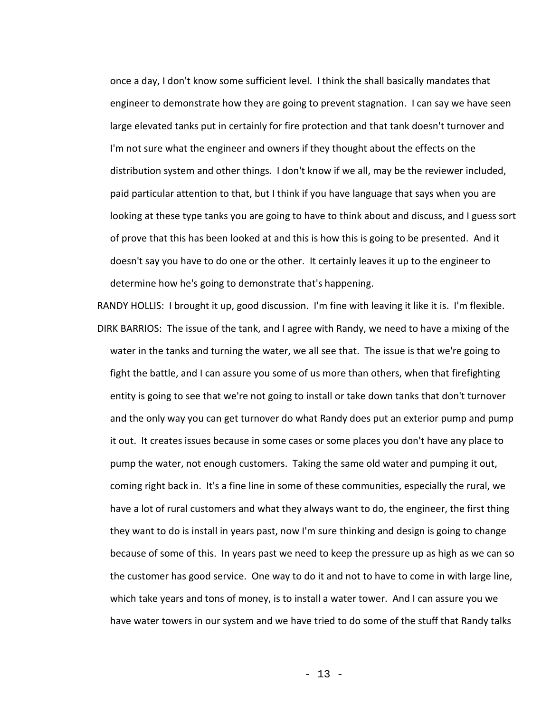once a day, I don't know some sufficient level. I think the shall basically mandates that engineer to demonstrate how they are going to prevent stagnation. I can say we have seen large elevated tanks put in certainly for fire protection and that tank doesn't turnover and I'm not sure what the engineer and owners if they thought about the effects on the distribution system and other things. I don't know if we all, may be the reviewer included, paid particular attention to that, but I think if you have language that says when you are looking at these type tanks you are going to have to think about and discuss, and I guess sort of prove that this has been looked at and this is how this is going to be presented. And it doesn't say you have to do one or the other. It certainly leaves it up to the engineer to determine how he's going to demonstrate that's happening.

RANDY HOLLIS: I brought it up, good discussion. I'm fine with leaving it like it is. I'm flexible. DIRK BARRIOS: The issue of the tank, and I agree with Randy, we need to have a mixing of the water in the tanks and turning the water, we all see that. The issue is that we're going to fight the battle, and I can assure you some of us more than others, when that firefighting entity is going to see that we're not going to install or take down tanks that don't turnover and the only way you can get turnover do what Randy does put an exterior pump and pump it out. It creates issues because in some cases or some places you don't have any place to pump the water, not enough customers. Taking the same old water and pumping it out, coming right back in. It's a fine line in some of these communities, especially the rural, we have a lot of rural customers and what they always want to do, the engineer, the first thing they want to do is install in years past, now I'm sure thinking and design is going to change because of some of this. In years past we need to keep the pressure up as high as we can so the customer has good service. One way to do it and not to have to come in with large line, which take years and tons of money, is to install a water tower. And I can assure you we have water towers in our system and we have tried to do some of the stuff that Randy talks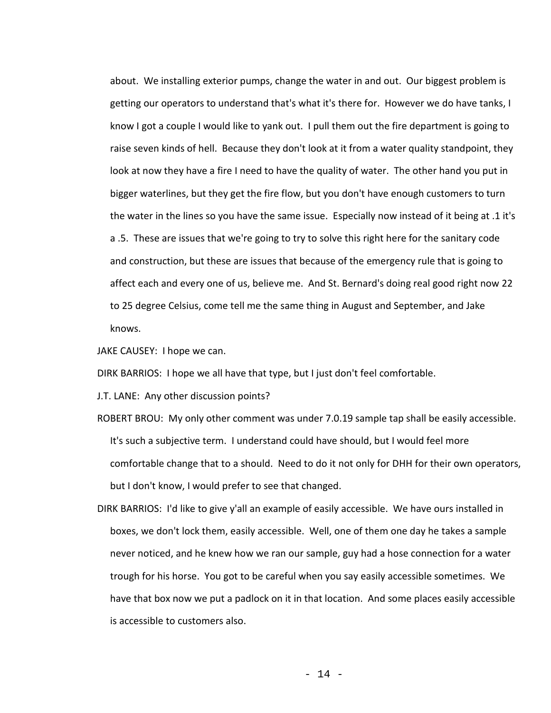about. We installing exterior pumps, change the water in and out. Our biggest problem is getting our operators to understand that's what it's there for. However we do have tanks, I know I got a couple I would like to yank out. I pull them out the fire department is going to raise seven kinds of hell. Because they don't look at it from a water quality standpoint, they look at now they have a fire I need to have the quality of water. The other hand you put in bigger waterlines, but they get the fire flow, but you don't have enough customers to turn the water in the lines so you have the same issue. Especially now instead of it being at .1 it's a .5. These are issues that we're going to try to solve this right here for the sanitary code and construction, but these are issues that because of the emergency rule that is going to affect each and every one of us, believe me. And St. Bernard's doing real good right now 22 to 25 degree Celsius, come tell me the same thing in August and September, and Jake knows.

JAKE CAUSEY: I hope we can.

DIRK BARRIOS: I hope we all have that type, but I just don't feel comfortable.

J.T. LANE: Any other discussion points?

ROBERT BROU: My only other comment was under 7.0.19 sample tap shall be easily accessible. It's such a subjective term. I understand could have should, but I would feel more comfortable change that to a should. Need to do it not only for DHH for their own operators, but I don't know, I would prefer to see that changed.

DIRK BARRIOS: I'd like to give y'all an example of easily accessible. We have ours installed in boxes, we don't lock them, easily accessible. Well, one of them one day he takes a sample never noticed, and he knew how we ran our sample, guy had a hose connection for a water trough for his horse. You got to be careful when you say easily accessible sometimes. We have that box now we put a padlock on it in that location. And some places easily accessible is accessible to customers also.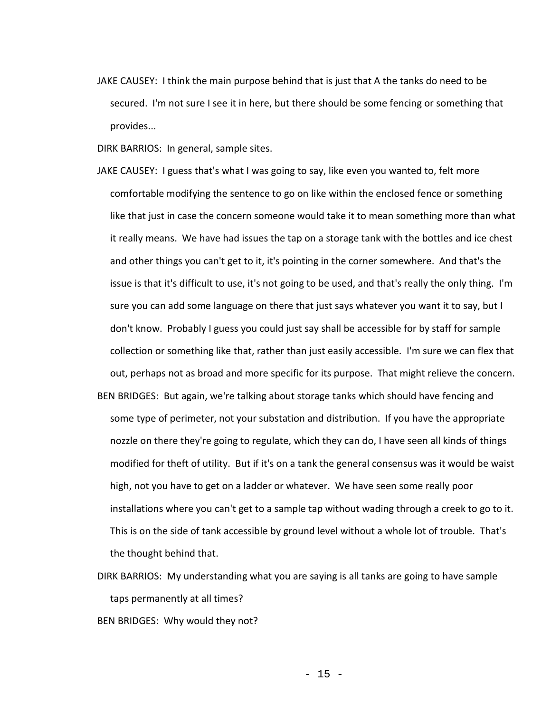JAKE CAUSEY: I think the main purpose behind that is just that A the tanks do need to be secured. I'm not sure I see it in here, but there should be some fencing or something that provides...

DIRK BARRIOS: In general, sample sites.

- JAKE CAUSEY: I guess that's what I was going to say, like even you wanted to, felt more comfortable modifying the sentence to go on like within the enclosed fence or something like that just in case the concern someone would take it to mean something more than what it really means. We have had issues the tap on a storage tank with the bottles and ice chest and other things you can't get to it, it's pointing in the corner somewhere. And that's the issue is that it's difficult to use, it's not going to be used, and that's really the only thing. I'm sure you can add some language on there that just says whatever you want it to say, but I don't know. Probably I guess you could just say shall be accessible for by staff for sample collection or something like that, rather than just easily accessible. I'm sure we can flex that out, perhaps not as broad and more specific for its purpose. That might relieve the concern.
- BEN BRIDGES: But again, we're talking about storage tanks which should have fencing and some type of perimeter, not your substation and distribution. If you have the appropriate nozzle on there they're going to regulate, which they can do, I have seen all kinds of things modified for theft of utility. But if it's on a tank the general consensus was it would be waist high, not you have to get on a ladder or whatever. We have seen some really poor installations where you can't get to a sample tap without wading through a creek to go to it. This is on the side of tank accessible by ground level without a whole lot of trouble. That's the thought behind that.
- DIRK BARRIOS: My understanding what you are saying is all tanks are going to have sample taps permanently at all times?

BEN BRIDGES: Why would they not?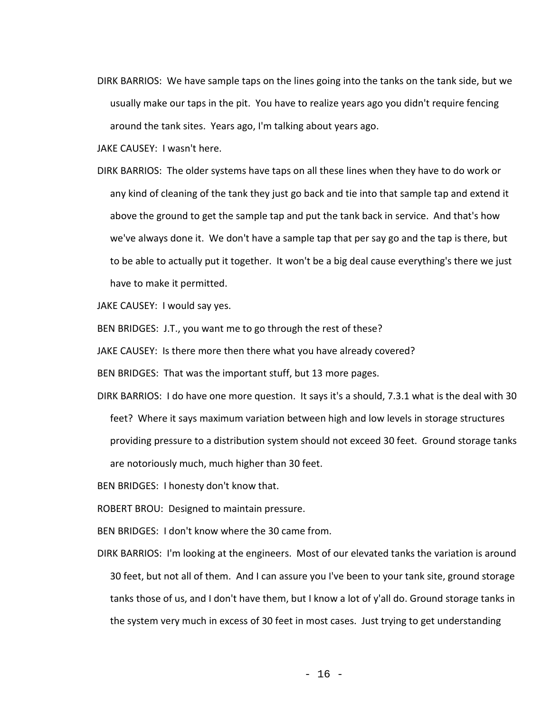DIRK BARRIOS: We have sample taps on the lines going into the tanks on the tank side, but we usually make our taps in the pit. You have to realize years ago you didn't require fencing around the tank sites. Years ago, I'm talking about years ago.

JAKE CAUSEY: I wasn't here.

DIRK BARRIOS: The older systems have taps on all these lines when they have to do work or any kind of cleaning of the tank they just go back and tie into that sample tap and extend it above the ground to get the sample tap and put the tank back in service. And that's how we've always done it. We don't have a sample tap that per say go and the tap is there, but to be able to actually put it together. It won't be a big deal cause everything's there we just have to make it permitted.

JAKE CAUSEY: I would say yes.

BEN BRIDGES: J.T., you want me to go through the rest of these?

JAKE CAUSEY: Is there more then there what you have already covered?

BEN BRIDGES: That was the important stuff, but 13 more pages.

DIRK BARRIOS: I do have one more question. It says it's a should, 7.3.1 what is the deal with 30 feet? Where it says maximum variation between high and low levels in storage structures providing pressure to a distribution system should not exceed 30 feet. Ground storage tanks are notoriously much, much higher than 30 feet.

BEN BRIDGES: I honesty don't know that.

ROBERT BROU: Designed to maintain pressure.

BEN BRIDGES: I don't know where the 30 came from.

DIRK BARRIOS: I'm looking at the engineers. Most of our elevated tanks the variation is around 30 feet, but not all of them. And I can assure you I've been to your tank site, ground storage tanks those of us, and I don't have them, but I know a lot of y'all do. Ground storage tanks in the system very much in excess of 30 feet in most cases. Just trying to get understanding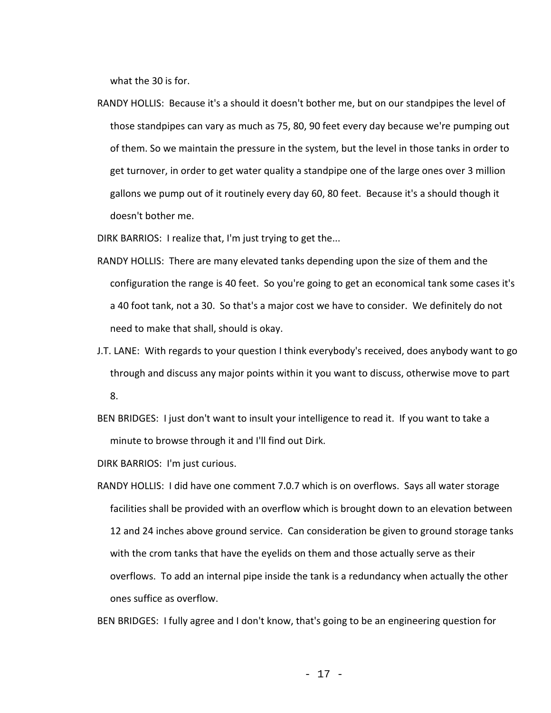what the 30 is for.

RANDY HOLLIS: Because it's a should it doesn't bother me, but on our standpipes the level of those standpipes can vary as much as 75, 80, 90 feet every day because we're pumping out of them. So we maintain the pressure in the system, but the level in those tanks in order to get turnover, in order to get water quality a standpipe one of the large ones over 3 million gallons we pump out of it routinely every day 60, 80 feet. Because it's a should though it doesn't bother me.

DIRK BARRIOS: I realize that, I'm just trying to get the...

- RANDY HOLLIS: There are many elevated tanks depending upon the size of them and the configuration the range is 40 feet. So you're going to get an economical tank some cases it's a 40 foot tank, not a 30. So that's a major cost we have to consider. We definitely do not need to make that shall, should is okay.
- J.T. LANE: With regards to your question I think everybody's received, does anybody want to go through and discuss any major points within it you want to discuss, otherwise move to part 8.
- BEN BRIDGES: I just don't want to insult your intelligence to read it. If you want to take a minute to browse through it and I'll find out Dirk.

DIRK BARRIOS: I'm just curious.

RANDY HOLLIS: I did have one comment 7.0.7 which is on overflows. Says all water storage facilities shall be provided with an overflow which is brought down to an elevation between 12 and 24 inches above ground service. Can consideration be given to ground storage tanks with the crom tanks that have the eyelids on them and those actually serve as their overflows. To add an internal pipe inside the tank is a redundancy when actually the other ones suffice as overflow.

BEN BRIDGES: I fully agree and I don't know, that's going to be an engineering question for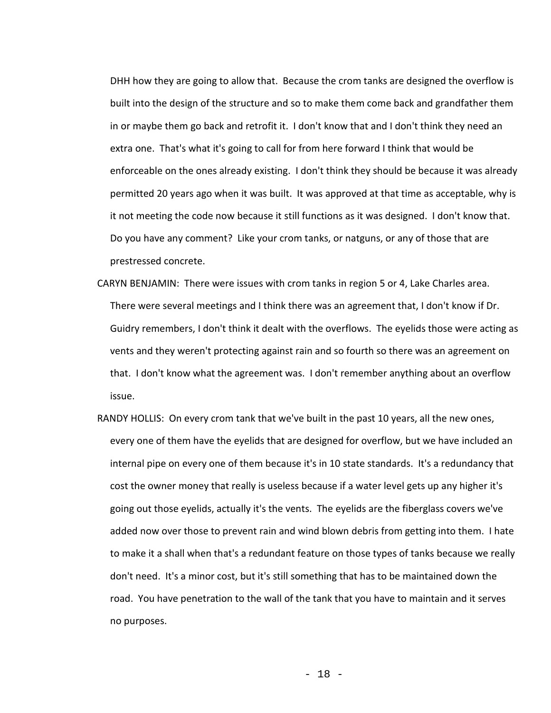DHH how they are going to allow that. Because the crom tanks are designed the overflow is built into the design of the structure and so to make them come back and grandfather them in or maybe them go back and retrofit it. I don't know that and I don't think they need an extra one. That's what it's going to call for from here forward I think that would be enforceable on the ones already existing. I don't think they should be because it was already permitted 20 years ago when it was built. It was approved at that time as acceptable, why is it not meeting the code now because it still functions as it was designed. I don't know that. Do you have any comment? Like your crom tanks, or natguns, or any of those that are prestressed concrete.

- CARYN BENJAMIN: There were issues with crom tanks in region 5 or 4, Lake Charles area. There were several meetings and I think there was an agreement that, I don't know if Dr. Guidry remembers, I don't think it dealt with the overflows. The eyelids those were acting as vents and they weren't protecting against rain and so fourth so there was an agreement on that. I don't know what the agreement was. I don't remember anything about an overflow issue.
- RANDY HOLLIS: On every crom tank that we've built in the past 10 years, all the new ones, every one of them have the eyelids that are designed for overflow, but we have included an internal pipe on every one of them because it's in 10 state standards. It's a redundancy that cost the owner money that really is useless because if a water level gets up any higher it's going out those eyelids, actually it's the vents. The eyelids are the fiberglass covers we've added now over those to prevent rain and wind blown debris from getting into them. I hate to make it a shall when that's a redundant feature on those types of tanks because we really don't need. It's a minor cost, but it's still something that has to be maintained down the road. You have penetration to the wall of the tank that you have to maintain and it serves no purposes.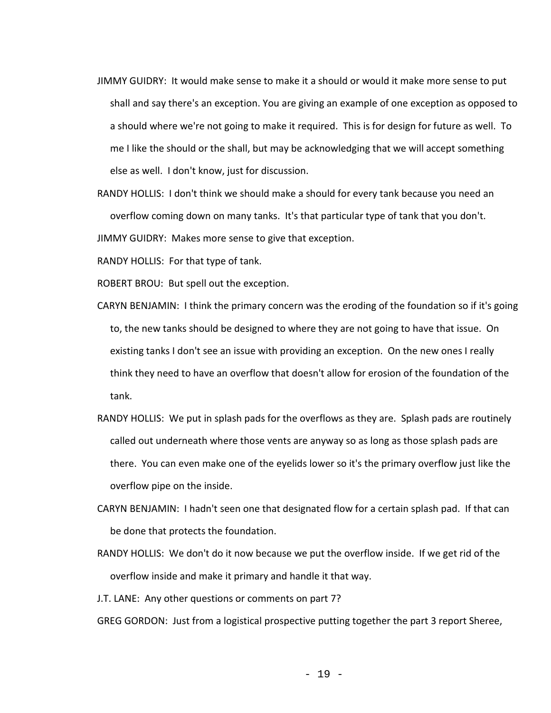- JIMMY GUIDRY: It would make sense to make it a should or would it make more sense to put shall and say there's an exception. You are giving an example of one exception as opposed to a should where we're not going to make it required. This is for design for future as well. To me I like the should or the shall, but may be acknowledging that we will accept something else as well. I don't know, just for discussion.
- RANDY HOLLIS: I don't think we should make a should for every tank because you need an overflow coming down on many tanks. It's that particular type of tank that you don't.

JIMMY GUIDRY: Makes more sense to give that exception.

RANDY HOLLIS: For that type of tank.

ROBERT BROU: But spell out the exception.

- CARYN BENJAMIN: I think the primary concern was the eroding of the foundation so if it's going to, the new tanks should be designed to where they are not going to have that issue. On existing tanks I don't see an issue with providing an exception. On the new ones I really think they need to have an overflow that doesn't allow for erosion of the foundation of the tank.
- RANDY HOLLIS: We put in splash pads for the overflows as they are. Splash pads are routinely called out underneath where those vents are anyway so as long as those splash pads are there. You can even make one of the eyelids lower so it's the primary overflow just like the overflow pipe on the inside.
- CARYN BENJAMIN: I hadn't seen one that designated flow for a certain splash pad. If that can be done that protects the foundation.
- RANDY HOLLIS: We don't do it now because we put the overflow inside. If we get rid of the overflow inside and make it primary and handle it that way.
- J.T. LANE: Any other questions or comments on part 7?

GREG GORDON: Just from a logistical prospective putting together the part 3 report Sheree,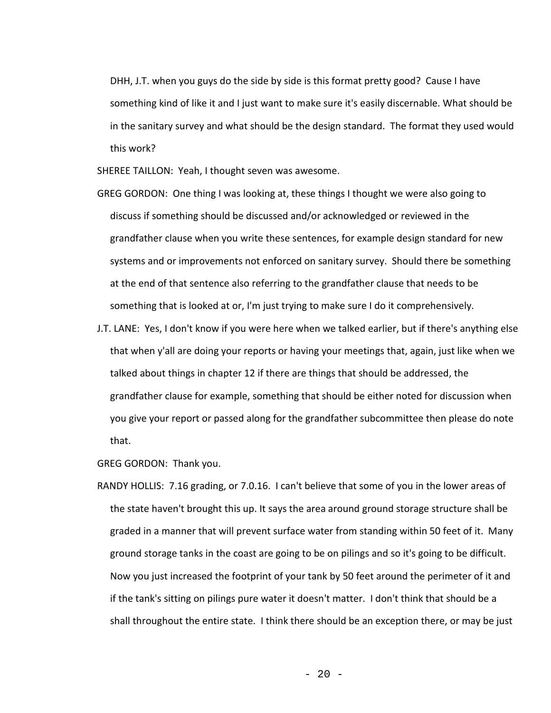DHH, J.T. when you guys do the side by side is this format pretty good? Cause I have something kind of like it and I just want to make sure it's easily discernable. What should be in the sanitary survey and what should be the design standard. The format they used would this work?

SHEREE TAILLON: Yeah, I thought seven was awesome.

- GREG GORDON: One thing I was looking at, these things I thought we were also going to discuss if something should be discussed and/or acknowledged or reviewed in the grandfather clause when you write these sentences, for example design standard for new systems and or improvements not enforced on sanitary survey. Should there be something at the end of that sentence also referring to the grandfather clause that needs to be something that is looked at or, I'm just trying to make sure I do it comprehensively.
- J.T. LANE: Yes, I don't know if you were here when we talked earlier, but if there's anything else that when y'all are doing your reports or having your meetings that, again, just like when we talked about things in chapter 12 if there are things that should be addressed, the grandfather clause for example, something that should be either noted for discussion when you give your report or passed along for the grandfather subcommittee then please do note that.

GREG GORDON: Thank you.

RANDY HOLLIS: 7.16 grading, or 7.0.16. I can't believe that some of you in the lower areas of the state haven't brought this up. It says the area around ground storage structure shall be graded in a manner that will prevent surface water from standing within 50 feet of it. Many ground storage tanks in the coast are going to be on pilings and so it's going to be difficult. Now you just increased the footprint of your tank by 50 feet around the perimeter of it and if the tank's sitting on pilings pure water it doesn't matter. I don't think that should be a shall throughout the entire state. I think there should be an exception there, or may be just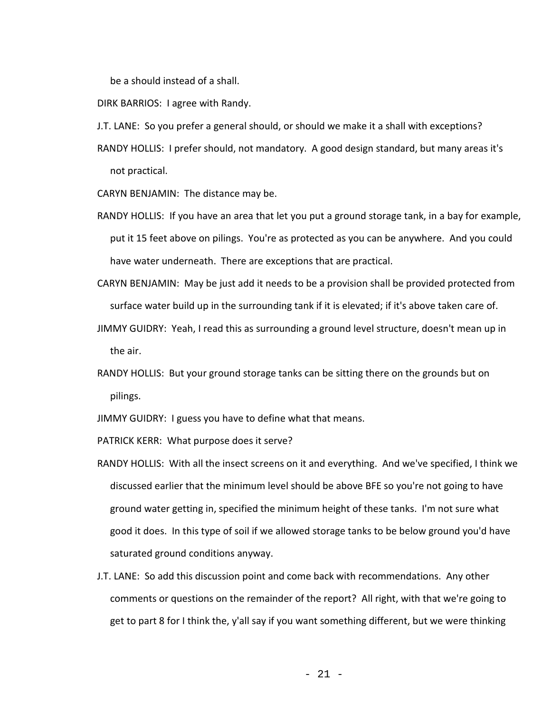be a should instead of a shall.

DIRK BARRIOS: I agree with Randy.

- J.T. LANE: So you prefer a general should, or should we make it a shall with exceptions?
- RANDY HOLLIS: I prefer should, not mandatory. A good design standard, but many areas it's not practical.

CARYN BENJAMIN: The distance may be.

- RANDY HOLLIS: If you have an area that let you put a ground storage tank, in a bay for example, put it 15 feet above on pilings. You're as protected as you can be anywhere. And you could have water underneath. There are exceptions that are practical.
- CARYN BENJAMIN: May be just add it needs to be a provision shall be provided protected from surface water build up in the surrounding tank if it is elevated; if it's above taken care of.
- JIMMY GUIDRY: Yeah, I read this as surrounding a ground level structure, doesn't mean up in the air.
- RANDY HOLLIS: But your ground storage tanks can be sitting there on the grounds but on pilings.

JIMMY GUIDRY: I guess you have to define what that means.

PATRICK KERR: What purpose does it serve?

- RANDY HOLLIS: With all the insect screens on it and everything. And we've specified, I think we discussed earlier that the minimum level should be above BFE so you're not going to have ground water getting in, specified the minimum height of these tanks. I'm not sure what good it does. In this type of soil if we allowed storage tanks to be below ground you'd have saturated ground conditions anyway.
- J.T. LANE: So add this discussion point and come back with recommendations. Any other comments or questions on the remainder of the report? All right, with that we're going to get to part 8 for I think the, y'all say if you want something different, but we were thinking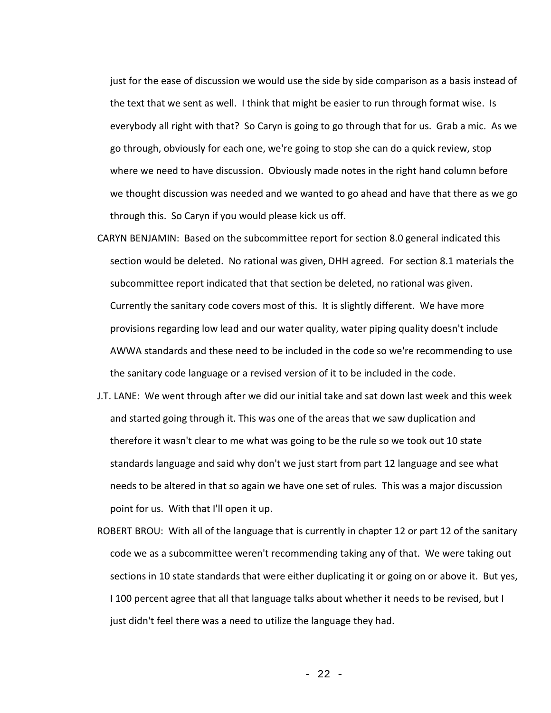just for the ease of discussion we would use the side by side comparison as a basis instead of the text that we sent as well. I think that might be easier to run through format wise. Is everybody all right with that? So Caryn is going to go through that for us. Grab a mic. As we go through, obviously for each one, we're going to stop she can do a quick review, stop where we need to have discussion. Obviously made notes in the right hand column before we thought discussion was needed and we wanted to go ahead and have that there as we go through this. So Caryn if you would please kick us off.

- CARYN BENJAMIN: Based on the subcommittee report for section 8.0 general indicated this section would be deleted. No rational was given, DHH agreed. For section 8.1 materials the subcommittee report indicated that that section be deleted, no rational was given. Currently the sanitary code covers most of this. It is slightly different. We have more provisions regarding low lead and our water quality, water piping quality doesn't include AWWA standards and these need to be included in the code so we're recommending to use the sanitary code language or a revised version of it to be included in the code.
- J.T. LANE: We went through after we did our initial take and sat down last week and this week and started going through it. This was one of the areas that we saw duplication and therefore it wasn't clear to me what was going to be the rule so we took out 10 state standards language and said why don't we just start from part 12 language and see what needs to be altered in that so again we have one set of rules. This was a major discussion point for us. With that I'll open it up.
- ROBERT BROU: With all of the language that is currently in chapter 12 or part 12 of the sanitary code we as a subcommittee weren't recommending taking any of that. We were taking out sections in 10 state standards that were either duplicating it or going on or above it. But yes, I 100 percent agree that all that language talks about whether it needs to be revised, but I just didn't feel there was a need to utilize the language they had.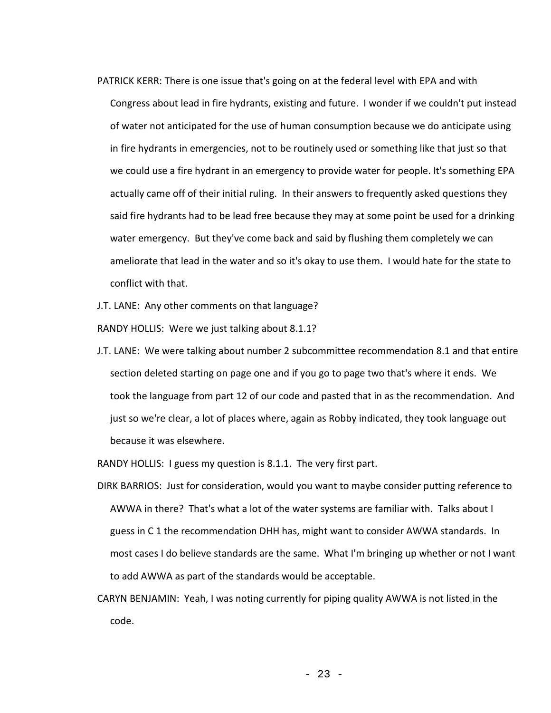PATRICK KERR: There is one issue that's going on at the federal level with EPA and with Congress about lead in fire hydrants, existing and future. I wonder if we couldn't put instead of water not anticipated for the use of human consumption because we do anticipate using in fire hydrants in emergencies, not to be routinely used or something like that just so that we could use a fire hydrant in an emergency to provide water for people. It's something EPA actually came off of their initial ruling. In their answers to frequently asked questions they said fire hydrants had to be lead free because they may at some point be used for a drinking water emergency. But they've come back and said by flushing them completely we can ameliorate that lead in the water and so it's okay to use them. I would hate for the state to conflict with that.

J.T. LANE: Any other comments on that language?

RANDY HOLLIS: Were we just talking about 8.1.1?

J.T. LANE: We were talking about number 2 subcommittee recommendation 8.1 and that entire section deleted starting on page one and if you go to page two that's where it ends. We took the language from part 12 of our code and pasted that in as the recommendation. And just so we're clear, a lot of places where, again as Robby indicated, they took language out because it was elsewhere.

RANDY HOLLIS: I guess my question is 8.1.1. The very first part.

- DIRK BARRIOS: Just for consideration, would you want to maybe consider putting reference to AWWA in there? That's what a lot of the water systems are familiar with. Talks about I guess in C 1 the recommendation DHH has, might want to consider AWWA standards. In most cases I do believe standards are the same. What I'm bringing up whether or not I want to add AWWA as part of the standards would be acceptable.
- CARYN BENJAMIN: Yeah, I was noting currently for piping quality AWWA is not listed in the code.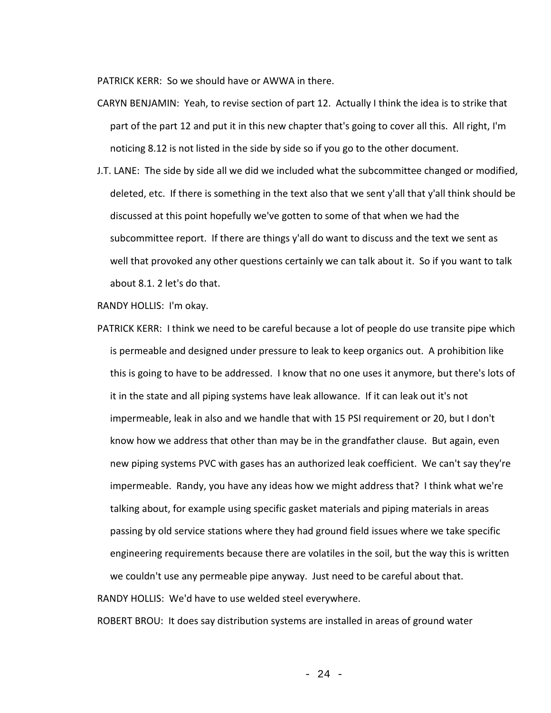PATRICK KERR: So we should have or AWWA in there.

- CARYN BENJAMIN: Yeah, to revise section of part 12. Actually I think the idea is to strike that part of the part 12 and put it in this new chapter that's going to cover all this. All right, I'm noticing 8.12 is not listed in the side by side so if you go to the other document.
- J.T. LANE: The side by side all we did we included what the subcommittee changed or modified, deleted, etc. If there is something in the text also that we sent y'all that y'all think should be discussed at this point hopefully we've gotten to some of that when we had the subcommittee report. If there are things y'all do want to discuss and the text we sent as well that provoked any other questions certainly we can talk about it. So if you want to talk about 8.1. 2 let's do that.

RANDY HOLLIS: I'm okay.

PATRICK KERR: I think we need to be careful because a lot of people do use transite pipe which is permeable and designed under pressure to leak to keep organics out. A prohibition like this is going to have to be addressed. I know that no one uses it anymore, but there's lots of it in the state and all piping systems have leak allowance. If it can leak out it's not impermeable, leak in also and we handle that with 15 PSI requirement or 20, but I don't know how we address that other than may be in the grandfather clause. But again, even new piping systems PVC with gases has an authorized leak coefficient. We can't say they're impermeable. Randy, you have any ideas how we might address that? I think what we're talking about, for example using specific gasket materials and piping materials in areas passing by old service stations where they had ground field issues where we take specific engineering requirements because there are volatiles in the soil, but the way this is written we couldn't use any permeable pipe anyway. Just need to be careful about that.

RANDY HOLLIS: We'd have to use welded steel everywhere.

ROBERT BROU: It does say distribution systems are installed in areas of ground water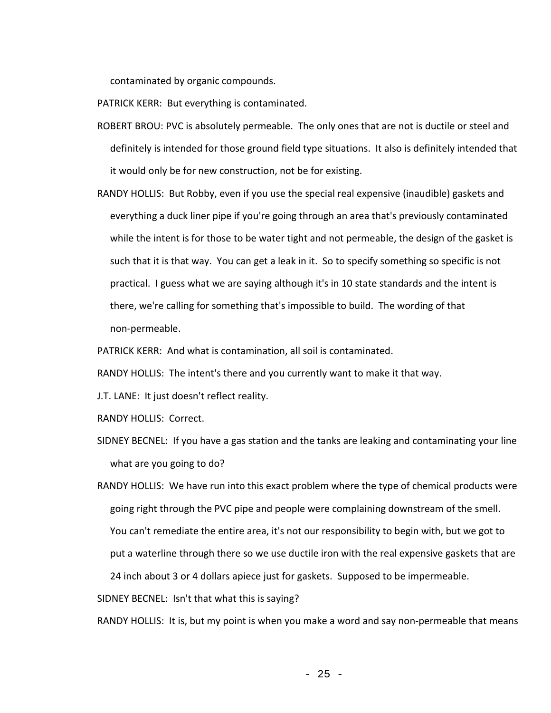contaminated by organic compounds.

PATRICK KERR: But everything is contaminated.

- ROBERT BROU: PVC is absolutely permeable. The only ones that are not is ductile or steel and definitely is intended for those ground field type situations. It also is definitely intended that it would only be for new construction, not be for existing.
- RANDY HOLLIS: But Robby, even if you use the special real expensive (inaudible) gaskets and everything a duck liner pipe if you're going through an area that's previously contaminated while the intent is for those to be water tight and not permeable, the design of the gasket is such that it is that way. You can get a leak in it. So to specify something so specific is not practical. I guess what we are saying although it's in 10 state standards and the intent is there, we're calling for something that's impossible to build. The wording of that non-permeable.

PATRICK KERR: And what is contamination, all soil is contaminated.

RANDY HOLLIS: The intent's there and you currently want to make it that way.

J.T. LANE: It just doesn't reflect reality.

RANDY HOLLIS: Correct.

SIDNEY BECNEL: If you have a gas station and the tanks are leaking and contaminating your line what are you going to do?

RANDY HOLLIS: We have run into this exact problem where the type of chemical products were going right through the PVC pipe and people were complaining downstream of the smell. You can't remediate the entire area, it's not our responsibility to begin with, but we got to put a waterline through there so we use ductile iron with the real expensive gaskets that are 24 inch about 3 or 4 dollars apiece just for gaskets. Supposed to be impermeable.

SIDNEY BECNEL: Isn't that what this is saying?

RANDY HOLLIS: It is, but my point is when you make a word and say non-permeable that means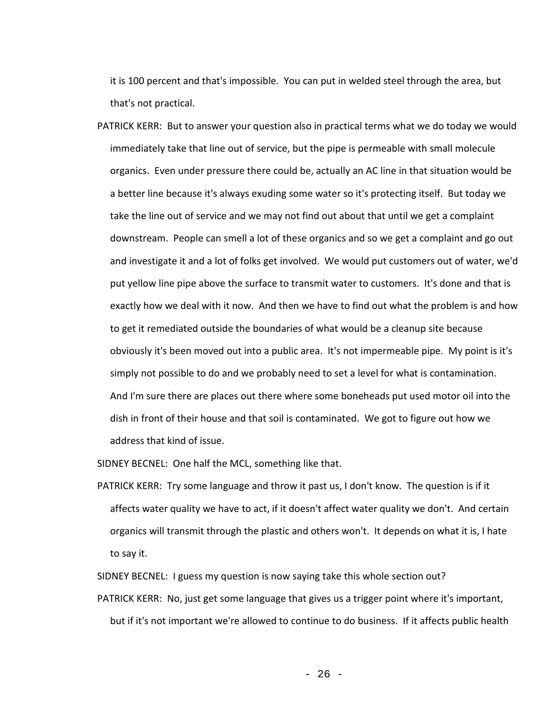it is 100 percent and that's impossible. You can put in welded steel through the area, but that's not practical.

PATRICK KERR: But to answer your question also in practical terms what we do today we would immediately take that line out of service, but the pipe is permeable with small molecule organics. Even under pressure there could be, actually an AC line in that situation would be a better line because it's always exuding some water so it's protecting itself. But today we take the line out of service and we may not find out about that until we get a complaint downstream. People can smell a lot of these organics and so we get a complaint and go out and investigate it and a lot of folks get involved. We would put customers out of water, we'd put yellow line pipe above the surface to transmit water to customers. It's done and that is exactly how we deal with it now. And then we have to find out what the problem is and how to get it remediated outside the boundaries of what would be a cleanup site because obviously it's been moved out into a public area. It's not impermeable pipe. My point is it's simply not possible to do and we probably need to set a level for what is contamination. And I'm sure there are places out there where some boneheads put used motor oil into the dish in front of their house and that soil is contaminated. We got to figure out how we address that kind of issue.

SIDNEY BECNEL: One half the MCL, something like that.

PATRICK KERR: Try some language and throw it past us, I don't know. The question is if it affects water quality we have to act, if it doesn't affect water quality we don't. And certain organics will transmit through the plastic and others won't. It depends on what it is, I hate to say it.

SIDNEY BECNEL: I guess my question is now saying take this whole section out?

PATRICK KERR: No, just get some language that gives us a trigger point where it's important, but if it's not important we're allowed to continue to do business. If it affects public health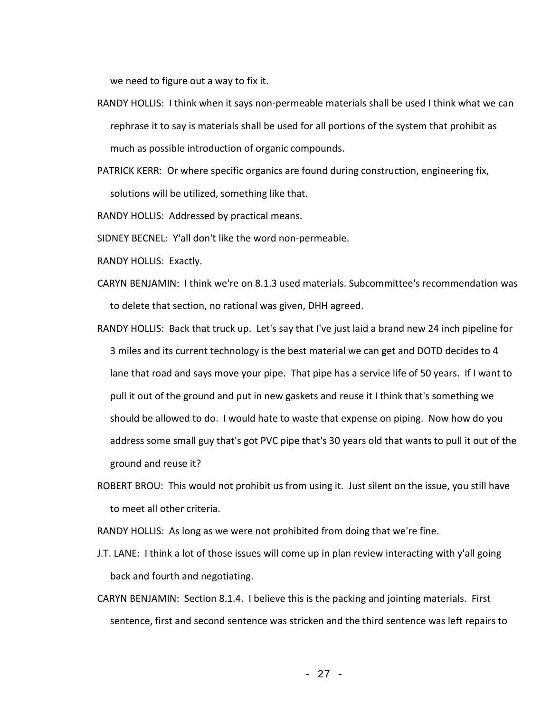we need to figure out a way to fix it.

- RANDY HOLLIS: I think when it says non-permeable materials shall be used I think what we can rephrase it to say is materials shall be used for all portions of the system that prohibit as much as possible introduction of organic compounds.
- PATRICK KERR: Or where specific organics are found during construction, engineering fix, solutions will be utilized, something like that.

RANDY HOLLIS: Addressed by practical means.

SIDNEY BECNEL: Y'all don't like the word non-permeable.

- RANDY HOLLIS: Exactly.
- CARYN BENJAMIN: I think we're on 8.1.3 used materials. Subcommittee's recommendation was to delete that section, no rational was given, DHH agreed.
- RANDY HOLLIS: Back that truck up. Let's say that I've just laid a brand new 24 inch pipeline for 3 miles and its current technology is the best material we can get and DOTD decides to 4 lane that road and says move your pipe. That pipe has a service life of 50 years. If I want to pull it out of the ground and put in new gaskets and reuse it I think that's something we should be allowed to do. I would hate to waste that expense on piping. Now how do you address some small guy that's got PVC pipe that's 30 years old that wants to pull it out of the ground and reuse it?
- ROBERT BROU: This would not prohibit us from using it. Just silent on the issue, you still have to meet all other criteria.

RANDY HOLLIS: As long as we were not prohibited from doing that we're fine.

- J.T. LANE: I think a lot of those issues will come up in plan review interacting with y'all going back and fourth and negotiating.
- CARYN BENJAMIN: Section 8.1.4. I believe this is the packing and jointing materials. First sentence, first and second sentence was stricken and the third sentence was left repairs to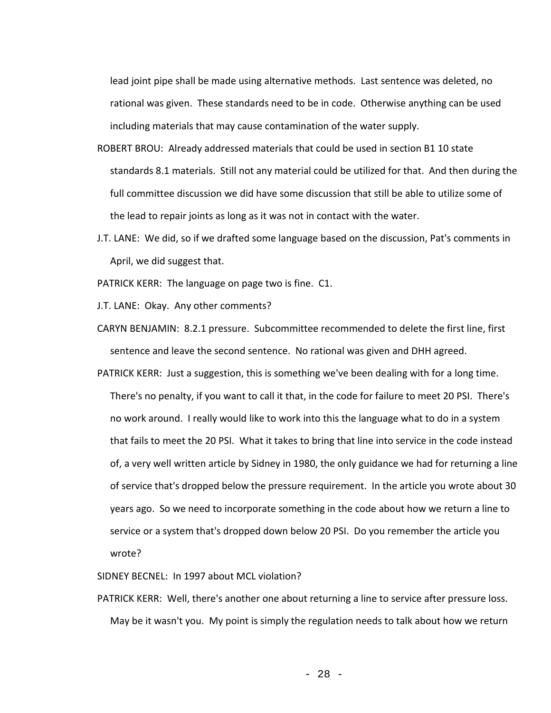lead joint pipe shall be made using alternative methods. Last sentence was deleted, no rational was given. These standards need to be in code. Otherwise anything can be used including materials that may cause contamination of the water supply.

- ROBERT BROU: Already addressed materials that could be used in section B1 10 state standards 8.1 materials. Still not any material could be utilized for that. And then during the full committee discussion we did have some discussion that still be able to utilize some of the lead to repair joints as long as it was not in contact with the water.
- J.T. LANE: We did, so if we drafted some language based on the discussion, Pat's comments in April, we did suggest that.
- PATRICK KERR: The language on page two is fine. C1.
- J.T. LANE: Okay. Any other comments?
- CARYN BENJAMIN: 8.2.1 pressure. Subcommittee recommended to delete the first line, first sentence and leave the second sentence. No rational was given and DHH agreed.
- PATRICK KERR: Just a suggestion, this is something we've been dealing with for a long time. There's no penalty, if you want to call it that, in the code for failure to meet 20 PSI. There's no work around. I really would like to work into this the language what to do in a system that fails to meet the 20 PSI. What it takes to bring that line into service in the code instead of, a very well written article by Sidney in 1980, the only guidance we had for returning a line of service that's dropped below the pressure requirement. In the article you wrote about 30 years ago. So we need to incorporate something in the code about how we return a line to service or a system that's dropped down below 20 PSI. Do you remember the article you wrote?
- SIDNEY BECNEL: In 1997 about MCL violation?
- PATRICK KERR: Well, there's another one about returning a line to service after pressure loss. May be it wasn't you. My point is simply the regulation needs to talk about how we return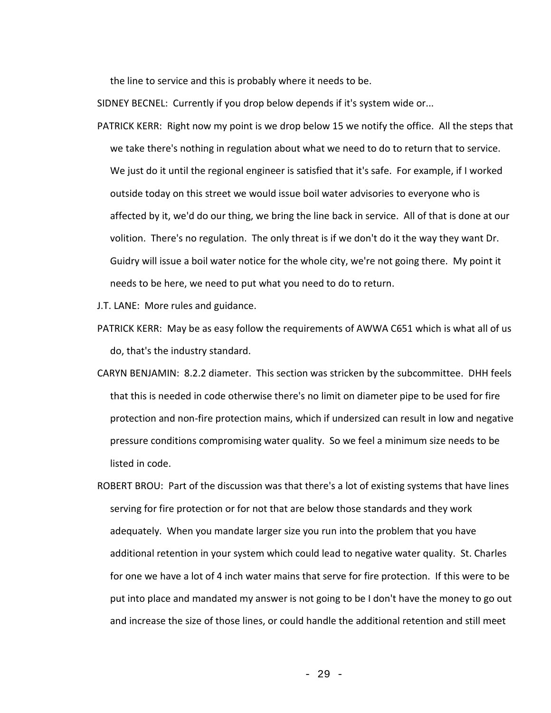the line to service and this is probably where it needs to be.

SIDNEY BECNEL: Currently if you drop below depends if it's system wide or...

PATRICK KERR: Right now my point is we drop below 15 we notify the office. All the steps that we take there's nothing in regulation about what we need to do to return that to service. We just do it until the regional engineer is satisfied that it's safe. For example, if I worked outside today on this street we would issue boil water advisories to everyone who is affected by it, we'd do our thing, we bring the line back in service. All of that is done at our volition. There's no regulation. The only threat is if we don't do it the way they want Dr. Guidry will issue a boil water notice for the whole city, we're not going there. My point it needs to be here, we need to put what you need to do to return.

J.T. LANE: More rules and guidance.

- PATRICK KERR: May be as easy follow the requirements of AWWA C651 which is what all of us do, that's the industry standard.
- CARYN BENJAMIN: 8.2.2 diameter. This section was stricken by the subcommittee. DHH feels that this is needed in code otherwise there's no limit on diameter pipe to be used for fire protection and non-fire protection mains, which if undersized can result in low and negative pressure conditions compromising water quality. So we feel a minimum size needs to be listed in code.
- ROBERT BROU: Part of the discussion was that there's a lot of existing systems that have lines serving for fire protection or for not that are below those standards and they work adequately. When you mandate larger size you run into the problem that you have additional retention in your system which could lead to negative water quality. St. Charles for one we have a lot of 4 inch water mains that serve for fire protection. If this were to be put into place and mandated my answer is not going to be I don't have the money to go out and increase the size of those lines, or could handle the additional retention and still meet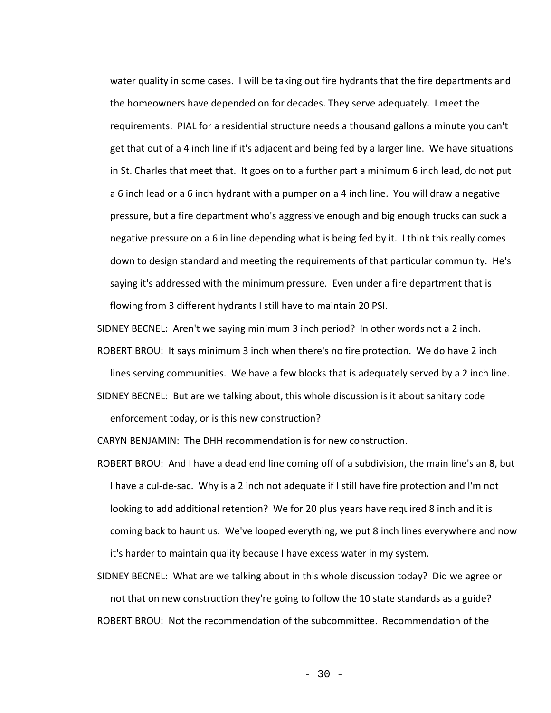water quality in some cases. I will be taking out fire hydrants that the fire departments and the homeowners have depended on for decades. They serve adequately. I meet the requirements. PIAL for a residential structure needs a thousand gallons a minute you can't get that out of a 4 inch line if it's adjacent and being fed by a larger line. We have situations in St. Charles that meet that. It goes on to a further part a minimum 6 inch lead, do not put a 6 inch lead or a 6 inch hydrant with a pumper on a 4 inch line. You will draw a negative pressure, but a fire department who's aggressive enough and big enough trucks can suck a negative pressure on a 6 in line depending what is being fed by it. I think this really comes down to design standard and meeting the requirements of that particular community. He's saying it's addressed with the minimum pressure. Even under a fire department that is flowing from 3 different hydrants I still have to maintain 20 PSI.

SIDNEY BECNEL: Aren't we saying minimum 3 inch period? In other words not a 2 inch.

ROBERT BROU: It says minimum 3 inch when there's no fire protection. We do have 2 inch

lines serving communities. We have a few blocks that is adequately served by a 2 inch line.

SIDNEY BECNEL: But are we talking about, this whole discussion is it about sanitary code enforcement today, or is this new construction?

CARYN BENJAMIN: The DHH recommendation is for new construction.

ROBERT BROU: And I have a dead end line coming off of a subdivision, the main line's an 8, but I have a cul-de-sac. Why is a 2 inch not adequate if I still have fire protection and I'm not looking to add additional retention? We for 20 plus years have required 8 inch and it is coming back to haunt us. We've looped everything, we put 8 inch lines everywhere and now it's harder to maintain quality because I have excess water in my system.

SIDNEY BECNEL: What are we talking about in this whole discussion today? Did we agree or not that on new construction they're going to follow the 10 state standards as a guide? ROBERT BROU: Not the recommendation of the subcommittee. Recommendation of the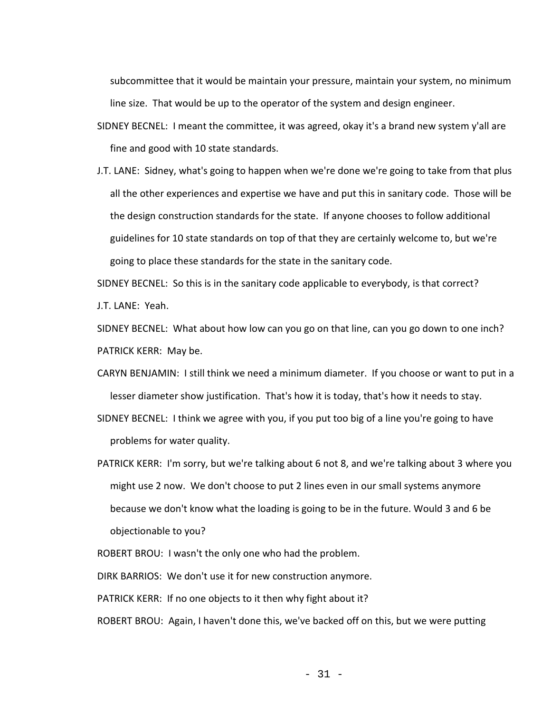subcommittee that it would be maintain your pressure, maintain your system, no minimum line size. That would be up to the operator of the system and design engineer.

- SIDNEY BECNEL: I meant the committee, it was agreed, okay it's a brand new system y'all are fine and good with 10 state standards.
- J.T. LANE: Sidney, what's going to happen when we're done we're going to take from that plus all the other experiences and expertise we have and put this in sanitary code. Those will be the design construction standards for the state. If anyone chooses to follow additional guidelines for 10 state standards on top of that they are certainly welcome to, but we're going to place these standards for the state in the sanitary code.

SIDNEY BECNEL: So this is in the sanitary code applicable to everybody, is that correct? J.T. LANE: Yeah.

SIDNEY BECNEL: What about how low can you go on that line, can you go down to one inch? PATRICK KERR: May be.

- CARYN BENJAMIN: I still think we need a minimum diameter. If you choose or want to put in a lesser diameter show justification. That's how it is today, that's how it needs to stay.
- SIDNEY BECNEL: I think we agree with you, if you put too big of a line you're going to have problems for water quality.
- PATRICK KERR: I'm sorry, but we're talking about 6 not 8, and we're talking about 3 where you might use 2 now. We don't choose to put 2 lines even in our small systems anymore because we don't know what the loading is going to be in the future. Would 3 and 6 be objectionable to you?

ROBERT BROU: I wasn't the only one who had the problem.

DIRK BARRIOS: We don't use it for new construction anymore.

PATRICK KERR: If no one objects to it then why fight about it?

ROBERT BROU: Again, I haven't done this, we've backed off on this, but we were putting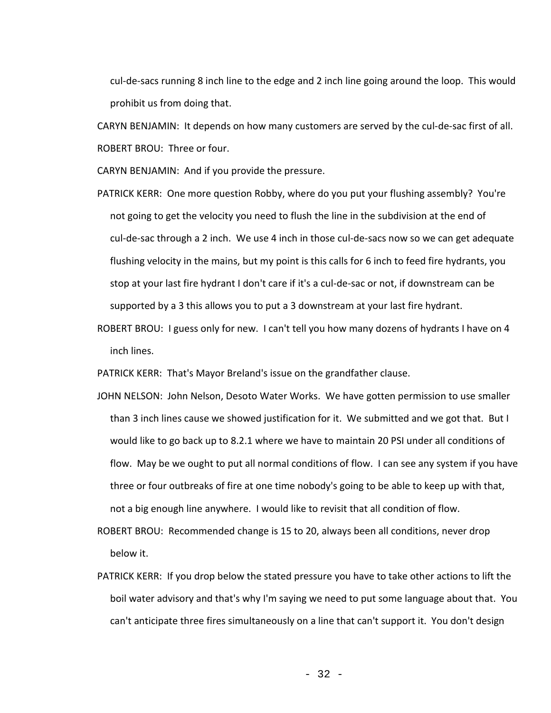cul-de-sacs running 8 inch line to the edge and 2 inch line going around the loop. This would prohibit us from doing that.

CARYN BENJAMIN: It depends on how many customers are served by the cul-de-sac first of all. ROBERT BROU: Three or four.

CARYN BENJAMIN: And if you provide the pressure.

- PATRICK KERR: One more question Robby, where do you put your flushing assembly? You're not going to get the velocity you need to flush the line in the subdivision at the end of cul-de-sac through a 2 inch. We use 4 inch in those cul-de-sacs now so we can get adequate flushing velocity in the mains, but my point is this calls for 6 inch to feed fire hydrants, you stop at your last fire hydrant I don't care if it's a cul-de-sac or not, if downstream can be supported by a 3 this allows you to put a 3 downstream at your last fire hydrant.
- ROBERT BROU: I guess only for new. I can't tell you how many dozens of hydrants I have on 4 inch lines.

PATRICK KERR: That's Mayor Breland's issue on the grandfather clause.

- JOHN NELSON: John Nelson, Desoto Water Works. We have gotten permission to use smaller than 3 inch lines cause we showed justification for it. We submitted and we got that. But I would like to go back up to 8.2.1 where we have to maintain 20 PSI under all conditions of flow. May be we ought to put all normal conditions of flow. I can see any system if you have three or four outbreaks of fire at one time nobody's going to be able to keep up with that, not a big enough line anywhere. I would like to revisit that all condition of flow.
- ROBERT BROU: Recommended change is 15 to 20, always been all conditions, never drop below it.
- PATRICK KERR: If you drop below the stated pressure you have to take other actions to lift the boil water advisory and that's why I'm saying we need to put some language about that. You can't anticipate three fires simultaneously on a line that can't support it. You don't design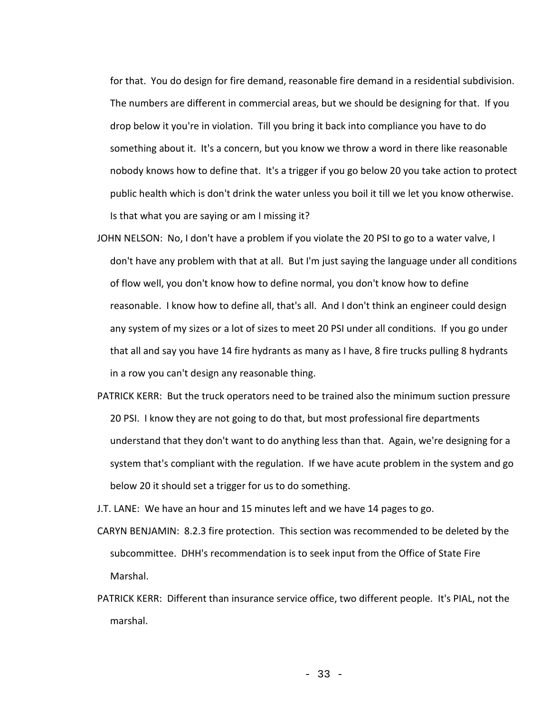for that. You do design for fire demand, reasonable fire demand in a residential subdivision. The numbers are different in commercial areas, but we should be designing for that. If you drop below it you're in violation. Till you bring it back into compliance you have to do something about it. It's a concern, but you know we throw a word in there like reasonable nobody knows how to define that. It's a trigger if you go below 20 you take action to protect public health which is don't drink the water unless you boil it till we let you know otherwise. Is that what you are saying or am I missing it?

- JOHN NELSON: No, I don't have a problem if you violate the 20 PSI to go to a water valve, I don't have any problem with that at all. But I'm just saying the language under all conditions of flow well, you don't know how to define normal, you don't know how to define reasonable. I know how to define all, that's all. And I don't think an engineer could design any system of my sizes or a lot of sizes to meet 20 PSI under all conditions. If you go under that all and say you have 14 fire hydrants as many as I have, 8 fire trucks pulling 8 hydrants in a row you can't design any reasonable thing.
- PATRICK KERR: But the truck operators need to be trained also the minimum suction pressure 20 PSI. I know they are not going to do that, but most professional fire departments understand that they don't want to do anything less than that. Again, we're designing for a system that's compliant with the regulation. If we have acute problem in the system and go below 20 it should set a trigger for us to do something.

J.T. LANE: We have an hour and 15 minutes left and we have 14 pages to go.

- CARYN BENJAMIN: 8.2.3 fire protection. This section was recommended to be deleted by the subcommittee. DHH's recommendation is to seek input from the Office of State Fire Marshal.
- PATRICK KERR: Different than insurance service office, two different people. It's PIAL, not the marshal.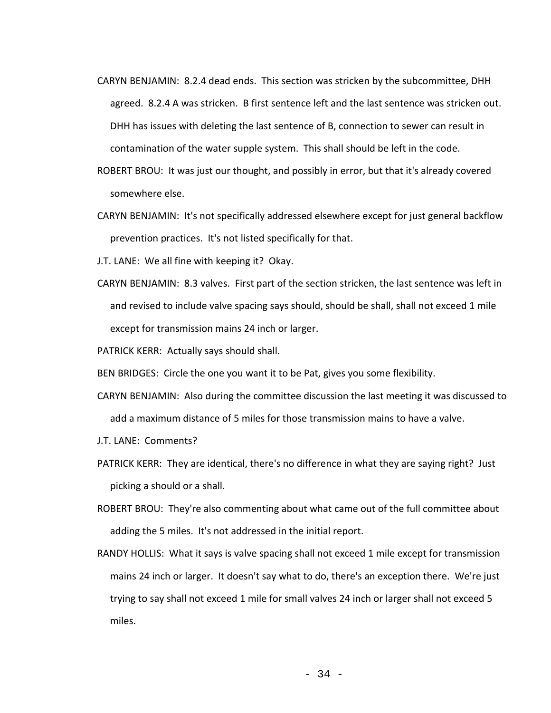- CARYN BENJAMIN: 8.2.4 dead ends. This section was stricken by the subcommittee, DHH agreed. 8.2.4 A was stricken. B first sentence left and the last sentence was stricken out. DHH has issues with deleting the last sentence of B, connection to sewer can result in contamination of the water supple system. This shall should be left in the code.
- ROBERT BROU: It was just our thought, and possibly in error, but that it's already covered somewhere else.
- CARYN BENJAMIN: It's not specifically addressed elsewhere except for just general backflow prevention practices. It's not listed specifically for that.
- J.T. LANE: We all fine with keeping it? Okay.
- CARYN BENJAMIN: 8.3 valves. First part of the section stricken, the last sentence was left in and revised to include valve spacing says should, should be shall, shall not exceed 1 mile except for transmission mains 24 inch or larger.
- PATRICK KERR: Actually says should shall.
- BEN BRIDGES: Circle the one you want it to be Pat, gives you some flexibility.
- CARYN BENJAMIN: Also during the committee discussion the last meeting it was discussed to add a maximum distance of 5 miles for those transmission mains to have a valve.
- J.T. LANE: Comments?
- PATRICK KERR: They are identical, there's no difference in what they are saying right? Just picking a should or a shall.
- ROBERT BROU: They're also commenting about what came out of the full committee about adding the 5 miles. It's not addressed in the initial report.
- RANDY HOLLIS: What it says is valve spacing shall not exceed 1 mile except for transmission mains 24 inch or larger. It doesn't say what to do, there's an exception there. We're just trying to say shall not exceed 1 mile for small valves 24 inch or larger shall not exceed 5 miles.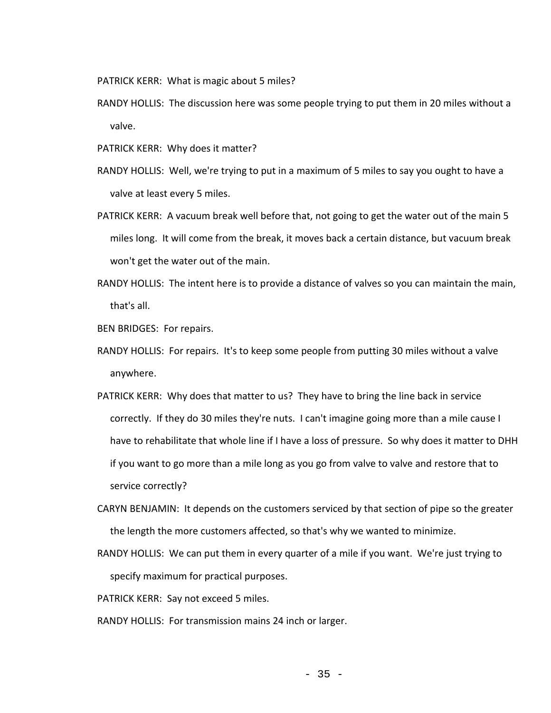PATRICK KERR: What is magic about 5 miles?

- RANDY HOLLIS: The discussion here was some people trying to put them in 20 miles without a valve.
- PATRICK KERR: Why does it matter?
- RANDY HOLLIS: Well, we're trying to put in a maximum of 5 miles to say you ought to have a valve at least every 5 miles.
- PATRICK KERR: A vacuum break well before that, not going to get the water out of the main 5 miles long. It will come from the break, it moves back a certain distance, but vacuum break won't get the water out of the main.
- RANDY HOLLIS: The intent here is to provide a distance of valves so you can maintain the main, that's all.

BEN BRIDGES: For repairs.

- RANDY HOLLIS: For repairs. It's to keep some people from putting 30 miles without a valve anywhere.
- PATRICK KERR: Why does that matter to us? They have to bring the line back in service correctly. If they do 30 miles they're nuts. I can't imagine going more than a mile cause I have to rehabilitate that whole line if I have a loss of pressure. So why does it matter to DHH if you want to go more than a mile long as you go from valve to valve and restore that to service correctly?
- CARYN BENJAMIN: It depends on the customers serviced by that section of pipe so the greater the length the more customers affected, so that's why we wanted to minimize.
- RANDY HOLLIS: We can put them in every quarter of a mile if you want. We're just trying to specify maximum for practical purposes.

PATRICK KERR: Say not exceed 5 miles.

RANDY HOLLIS: For transmission mains 24 inch or larger.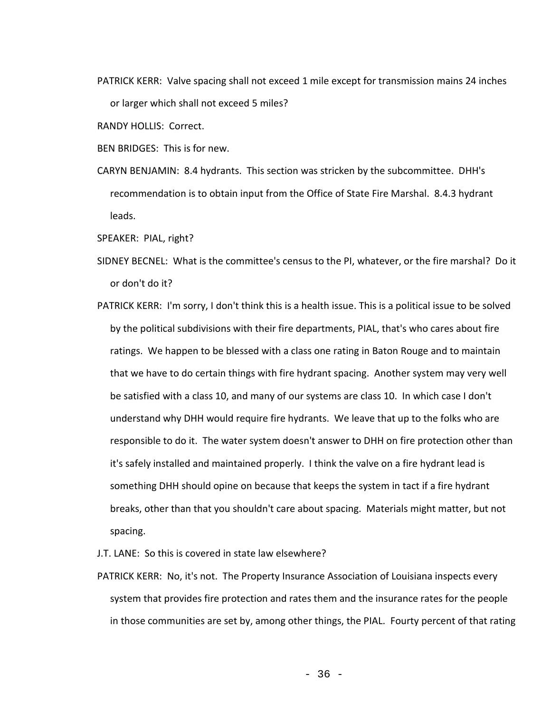PATRICK KERR: Valve spacing shall not exceed 1 mile except for transmission mains 24 inches or larger which shall not exceed 5 miles?

RANDY HOLLIS: Correct.

BEN BRIDGES: This is for new.

CARYN BENJAMIN: 8.4 hydrants. This section was stricken by the subcommittee. DHH's recommendation is to obtain input from the Office of State Fire Marshal. 8.4.3 hydrant leads.

SPEAKER: PIAL, right?

- SIDNEY BECNEL: What is the committee's census to the PI, whatever, or the fire marshal? Do it or don't do it?
- PATRICK KERR: I'm sorry, I don't think this is a health issue. This is a political issue to be solved by the political subdivisions with their fire departments, PIAL, that's who cares about fire ratings. We happen to be blessed with a class one rating in Baton Rouge and to maintain that we have to do certain things with fire hydrant spacing. Another system may very well be satisfied with a class 10, and many of our systems are class 10. In which case I don't understand why DHH would require fire hydrants. We leave that up to the folks who are responsible to do it. The water system doesn't answer to DHH on fire protection other than it's safely installed and maintained properly. I think the valve on a fire hydrant lead is something DHH should opine on because that keeps the system in tact if a fire hydrant breaks, other than that you shouldn't care about spacing. Materials might matter, but not spacing.

J.T. LANE: So this is covered in state law elsewhere?

PATRICK KERR: No, it's not. The Property Insurance Association of Louisiana inspects every system that provides fire protection and rates them and the insurance rates for the people in those communities are set by, among other things, the PIAL. Fourty percent of that rating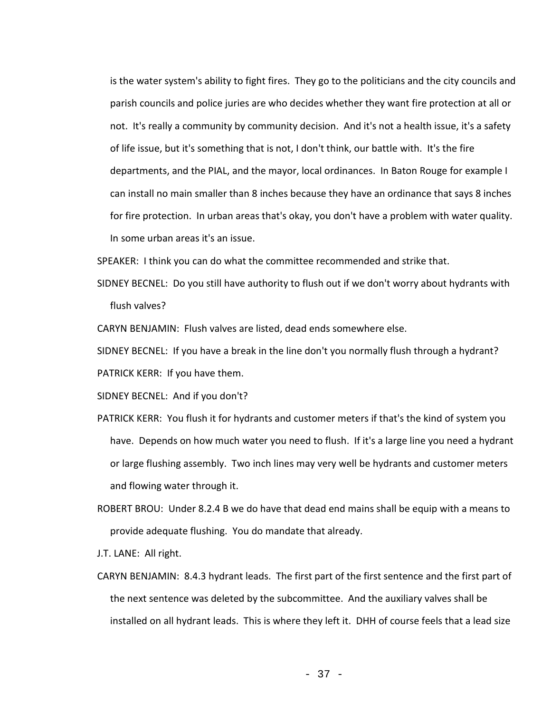is the water system's ability to fight fires. They go to the politicians and the city councils and parish councils and police juries are who decides whether they want fire protection at all or not. It's really a community by community decision. And it's not a health issue, it's a safety of life issue, but it's something that is not, I don't think, our battle with. It's the fire departments, and the PIAL, and the mayor, local ordinances. In Baton Rouge for example I can install no main smaller than 8 inches because they have an ordinance that says 8 inches for fire protection. In urban areas that's okay, you don't have a problem with water quality. In some urban areas it's an issue.

SPEAKER: I think you can do what the committee recommended and strike that.

SIDNEY BECNEL: Do you still have authority to flush out if we don't worry about hydrants with flush valves?

CARYN BENJAMIN: Flush valves are listed, dead ends somewhere else.

SIDNEY BECNEL: If you have a break in the line don't you normally flush through a hydrant? PATRICK KERR: If you have them.

SIDNEY BECNEL: And if you don't?

- PATRICK KERR: You flush it for hydrants and customer meters if that's the kind of system you have. Depends on how much water you need to flush. If it's a large line you need a hydrant or large flushing assembly. Two inch lines may very well be hydrants and customer meters and flowing water through it.
- ROBERT BROU: Under 8.2.4 B we do have that dead end mains shall be equip with a means to provide adequate flushing. You do mandate that already.
- J.T. LANE: All right.
- CARYN BENJAMIN: 8.4.3 hydrant leads. The first part of the first sentence and the first part of the next sentence was deleted by the subcommittee. And the auxiliary valves shall be installed on all hydrant leads. This is where they left it. DHH of course feels that a lead size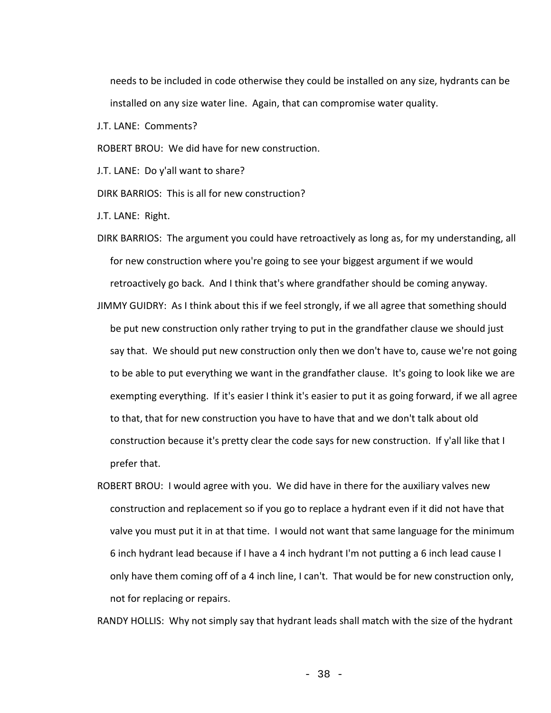needs to be included in code otherwise they could be installed on any size, hydrants can be installed on any size water line. Again, that can compromise water quality.

J.T. LANE: Comments?

ROBERT BROU: We did have for new construction.

J.T. LANE: Do y'all want to share?

DIRK BARRIOS: This is all for new construction?

J.T. LANE: Right.

- DIRK BARRIOS: The argument you could have retroactively as long as, for my understanding, all for new construction where you're going to see your biggest argument if we would retroactively go back. And I think that's where grandfather should be coming anyway.
- JIMMY GUIDRY: As I think about this if we feel strongly, if we all agree that something should be put new construction only rather trying to put in the grandfather clause we should just say that. We should put new construction only then we don't have to, cause we're not going to be able to put everything we want in the grandfather clause. It's going to look like we are exempting everything. If it's easier I think it's easier to put it as going forward, if we all agree to that, that for new construction you have to have that and we don't talk about old construction because it's pretty clear the code says for new construction. If y'all like that I prefer that.
- ROBERT BROU: I would agree with you. We did have in there for the auxiliary valves new construction and replacement so if you go to replace a hydrant even if it did not have that valve you must put it in at that time. I would not want that same language for the minimum 6 inch hydrant lead because if I have a 4 inch hydrant I'm not putting a 6 inch lead cause I only have them coming off of a 4 inch line, I can't. That would be for new construction only, not for replacing or repairs.

RANDY HOLLIS: Why not simply say that hydrant leads shall match with the size of the hydrant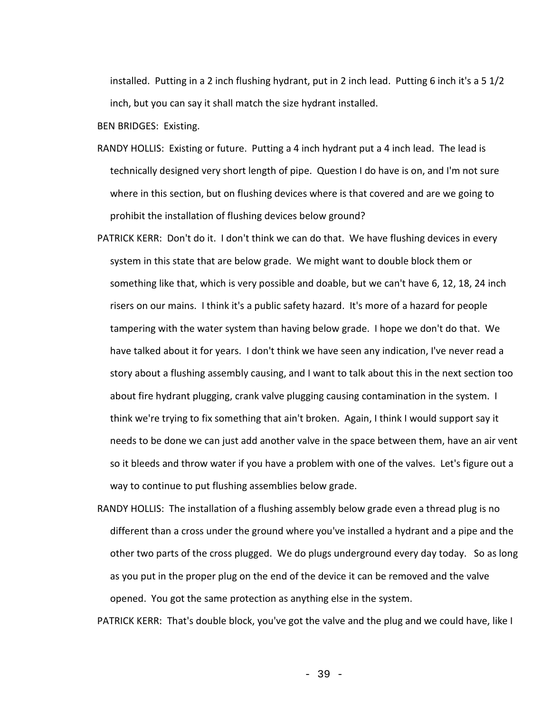installed. Putting in a 2 inch flushing hydrant, put in 2 inch lead. Putting 6 inch it's a 5 1/2 inch, but you can say it shall match the size hydrant installed.

BEN BRIDGES: Existing.

- RANDY HOLLIS: Existing or future. Putting a 4 inch hydrant put a 4 inch lead. The lead is technically designed very short length of pipe. Question I do have is on, and I'm not sure where in this section, but on flushing devices where is that covered and are we going to prohibit the installation of flushing devices below ground?
- PATRICK KERR: Don't do it. I don't think we can do that. We have flushing devices in every system in this state that are below grade. We might want to double block them or something like that, which is very possible and doable, but we can't have 6, 12, 18, 24 inch risers on our mains. I think it's a public safety hazard. It's more of a hazard for people tampering with the water system than having below grade. I hope we don't do that. We have talked about it for years. I don't think we have seen any indication, I've never read a story about a flushing assembly causing, and I want to talk about this in the next section too about fire hydrant plugging, crank valve plugging causing contamination in the system. I think we're trying to fix something that ain't broken. Again, I think I would support say it needs to be done we can just add another valve in the space between them, have an air vent so it bleeds and throw water if you have a problem with one of the valves. Let's figure out a way to continue to put flushing assemblies below grade.
- RANDY HOLLIS: The installation of a flushing assembly below grade even a thread plug is no different than a cross under the ground where you've installed a hydrant and a pipe and the other two parts of the cross plugged. We do plugs underground every day today. So as long as you put in the proper plug on the end of the device it can be removed and the valve opened. You got the same protection as anything else in the system.

PATRICK KERR: That's double block, you've got the valve and the plug and we could have, like I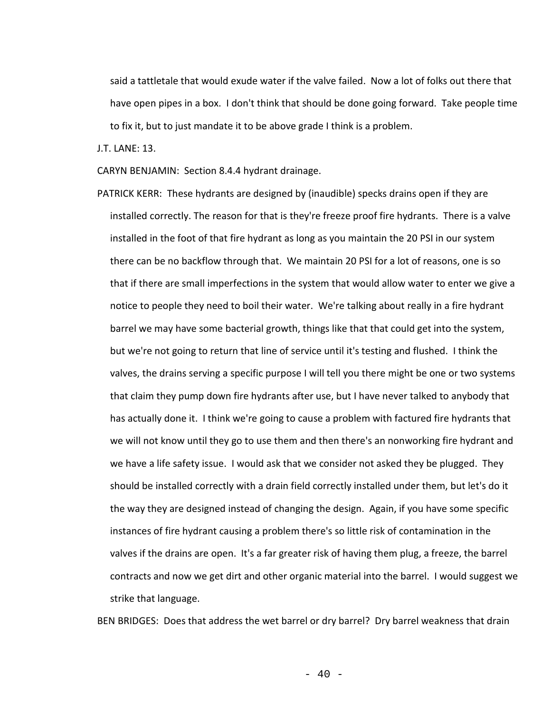said a tattletale that would exude water if the valve failed. Now a lot of folks out there that have open pipes in a box. I don't think that should be done going forward. Take people time to fix it, but to just mandate it to be above grade I think is a problem.

J.T. LANE: 13.

CARYN BENJAMIN: Section 8.4.4 hydrant drainage.

PATRICK KERR: These hydrants are designed by (inaudible) specks drains open if they are installed correctly. The reason for that is they're freeze proof fire hydrants. There is a valve installed in the foot of that fire hydrant as long as you maintain the 20 PSI in our system there can be no backflow through that. We maintain 20 PSI for a lot of reasons, one is so that if there are small imperfections in the system that would allow water to enter we give a notice to people they need to boil their water. We're talking about really in a fire hydrant barrel we may have some bacterial growth, things like that that could get into the system, but we're not going to return that line of service until it's testing and flushed. I think the valves, the drains serving a specific purpose I will tell you there might be one or two systems that claim they pump down fire hydrants after use, but I have never talked to anybody that has actually done it. I think we're going to cause a problem with factured fire hydrants that we will not know until they go to use them and then there's an nonworking fire hydrant and we have a life safety issue. I would ask that we consider not asked they be plugged. They should be installed correctly with a drain field correctly installed under them, but let's do it the way they are designed instead of changing the design. Again, if you have some specific instances of fire hydrant causing a problem there's so little risk of contamination in the valves if the drains are open. It's a far greater risk of having them plug, a freeze, the barrel contracts and now we get dirt and other organic material into the barrel. I would suggest we strike that language.

BEN BRIDGES: Does that address the wet barrel or dry barrel? Dry barrel weakness that drain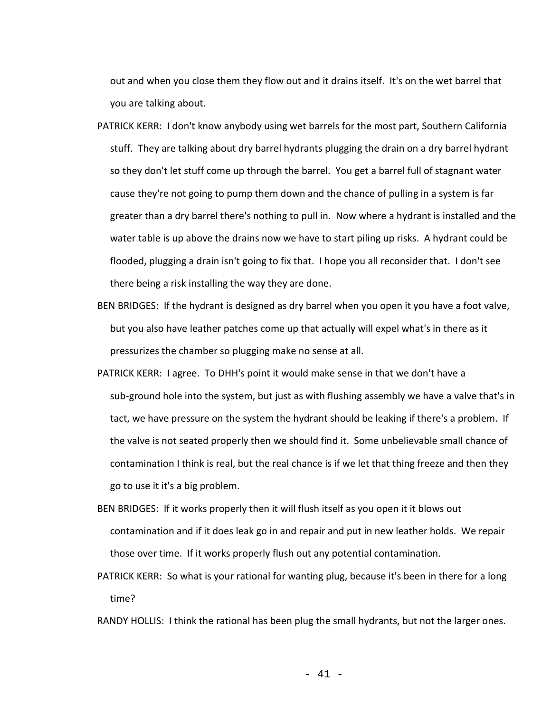out and when you close them they flow out and it drains itself. It's on the wet barrel that you are talking about.

- PATRICK KERR: I don't know anybody using wet barrels for the most part, Southern California stuff. They are talking about dry barrel hydrants plugging the drain on a dry barrel hydrant so they don't let stuff come up through the barrel. You get a barrel full of stagnant water cause they're not going to pump them down and the chance of pulling in a system is far greater than a dry barrel there's nothing to pull in. Now where a hydrant is installed and the water table is up above the drains now we have to start piling up risks. A hydrant could be flooded, plugging a drain isn't going to fix that. I hope you all reconsider that. I don't see there being a risk installing the way they are done.
- BEN BRIDGES: If the hydrant is designed as dry barrel when you open it you have a foot valve, but you also have leather patches come up that actually will expel what's in there as it pressurizes the chamber so plugging make no sense at all.
- PATRICK KERR: I agree. To DHH's point it would make sense in that we don't have a sub-ground hole into the system, but just as with flushing assembly we have a valve that's in tact, we have pressure on the system the hydrant should be leaking if there's a problem. If the valve is not seated properly then we should find it. Some unbelievable small chance of contamination I think is real, but the real chance is if we let that thing freeze and then they go to use it it's a big problem.
- BEN BRIDGES: If it works properly then it will flush itself as you open it it blows out contamination and if it does leak go in and repair and put in new leather holds. We repair those over time. If it works properly flush out any potential contamination.
- PATRICK KERR: So what is your rational for wanting plug, because it's been in there for a long time?

RANDY HOLLIS: I think the rational has been plug the small hydrants, but not the larger ones.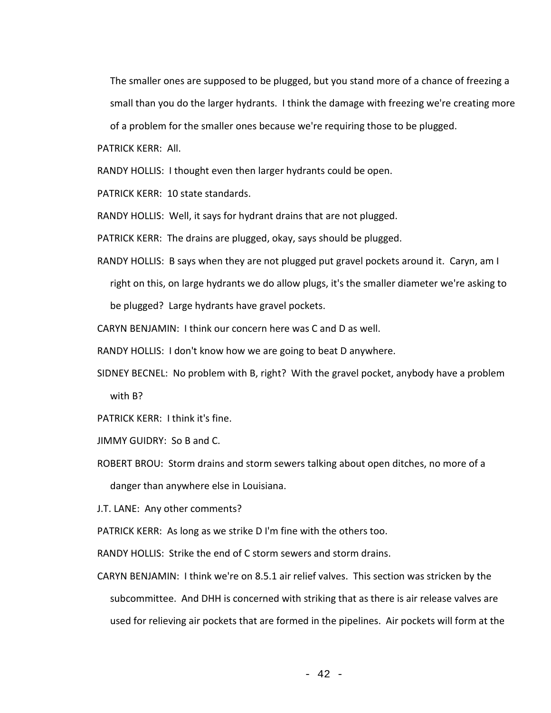The smaller ones are supposed to be plugged, but you stand more of a chance of freezing a small than you do the larger hydrants. I think the damage with freezing we're creating more

of a problem for the smaller ones because we're requiring those to be plugged.

PATRICK KERR: All.

RANDY HOLLIS: I thought even then larger hydrants could be open.

PATRICK KERR: 10 state standards.

RANDY HOLLIS: Well, it says for hydrant drains that are not plugged.

PATRICK KERR: The drains are plugged, okay, says should be plugged.

- RANDY HOLLIS: B says when they are not plugged put gravel pockets around it. Caryn, am I right on this, on large hydrants we do allow plugs, it's the smaller diameter we're asking to be plugged? Large hydrants have gravel pockets.
- CARYN BENJAMIN: I think our concern here was C and D as well.

RANDY HOLLIS: I don't know how we are going to beat D anywhere.

SIDNEY BECNEL: No problem with B, right? With the gravel pocket, anybody have a problem with B?

PATRICK KERR: I think it's fine.

JIMMY GUIDRY: So B and C.

ROBERT BROU: Storm drains and storm sewers talking about open ditches, no more of a danger than anywhere else in Louisiana.

J.T. LANE: Any other comments?

PATRICK KERR: As long as we strike D I'm fine with the others too.

RANDY HOLLIS: Strike the end of C storm sewers and storm drains.

CARYN BENJAMIN: I think we're on 8.5.1 air relief valves. This section was stricken by the subcommittee. And DHH is concerned with striking that as there is air release valves are used for relieving air pockets that are formed in the pipelines. Air pockets will form at the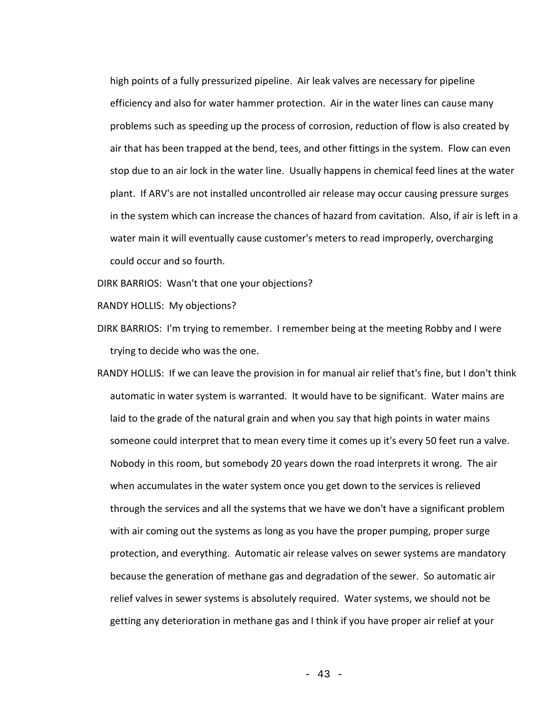high points of a fully pressurized pipeline. Air leak valves are necessary for pipeline efficiency and also for water hammer protection. Air in the water lines can cause many problems such as speeding up the process of corrosion, reduction of flow is also created by air that has been trapped at the bend, tees, and other fittings in the system. Flow can even stop due to an air lock in the water line. Usually happens in chemical feed lines at the water plant. If ARV's are not installed uncontrolled air release may occur causing pressure surges in the system which can increase the chances of hazard from cavitation. Also, if air is left in a water main it will eventually cause customer's meters to read improperly, overcharging could occur and so fourth.

DIRK BARRIOS: Wasn't that one your objections?

RANDY HOLLIS: My objections?

DIRK BARRIOS: I'm trying to remember. I remember being at the meeting Robby and I were trying to decide who was the one.

RANDY HOLLIS: If we can leave the provision in for manual air relief that's fine, but I don't think automatic in water system is warranted. It would have to be significant. Water mains are laid to the grade of the natural grain and when you say that high points in water mains someone could interpret that to mean every time it comes up it's every 50 feet run a valve. Nobody in this room, but somebody 20 years down the road interprets it wrong. The air when accumulates in the water system once you get down to the services is relieved through the services and all the systems that we have we don't have a significant problem with air coming out the systems as long as you have the proper pumping, proper surge protection, and everything. Automatic air release valves on sewer systems are mandatory because the generation of methane gas and degradation of the sewer. So automatic air relief valves in sewer systems is absolutely required. Water systems, we should not be getting any deterioration in methane gas and I think if you have proper air relief at your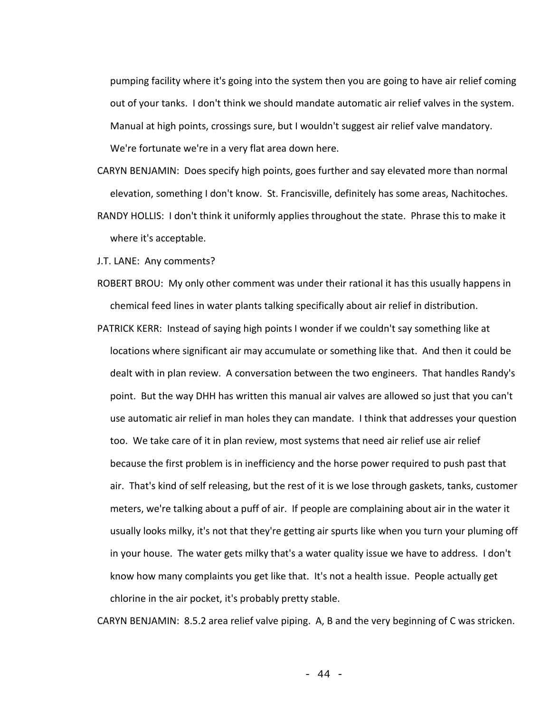pumping facility where it's going into the system then you are going to have air relief coming out of your tanks. I don't think we should mandate automatic air relief valves in the system. Manual at high points, crossings sure, but I wouldn't suggest air relief valve mandatory. We're fortunate we're in a very flat area down here.

CARYN BENJAMIN: Does specify high points, goes further and say elevated more than normal elevation, something I don't know. St. Francisville, definitely has some areas, Nachitoches. RANDY HOLLIS: I don't think it uniformly applies throughout the state. Phrase this to make it where it's acceptable.

J.T. LANE: Any comments?

- ROBERT BROU: My only other comment was under their rational it has this usually happens in chemical feed lines in water plants talking specifically about air relief in distribution.
- PATRICK KERR: Instead of saying high points I wonder if we couldn't say something like at locations where significant air may accumulate or something like that. And then it could be dealt with in plan review. A conversation between the two engineers. That handles Randy's point. But the way DHH has written this manual air valves are allowed so just that you can't use automatic air relief in man holes they can mandate. I think that addresses your question too. We take care of it in plan review, most systems that need air relief use air relief because the first problem is in inefficiency and the horse power required to push past that air. That's kind of self releasing, but the rest of it is we lose through gaskets, tanks, customer meters, we're talking about a puff of air. If people are complaining about air in the water it usually looks milky, it's not that they're getting air spurts like when you turn your pluming off in your house. The water gets milky that's a water quality issue we have to address. I don't know how many complaints you get like that. It's not a health issue. People actually get chlorine in the air pocket, it's probably pretty stable.

CARYN BENJAMIN: 8.5.2 area relief valve piping. A, B and the very beginning of C was stricken.

- 44 -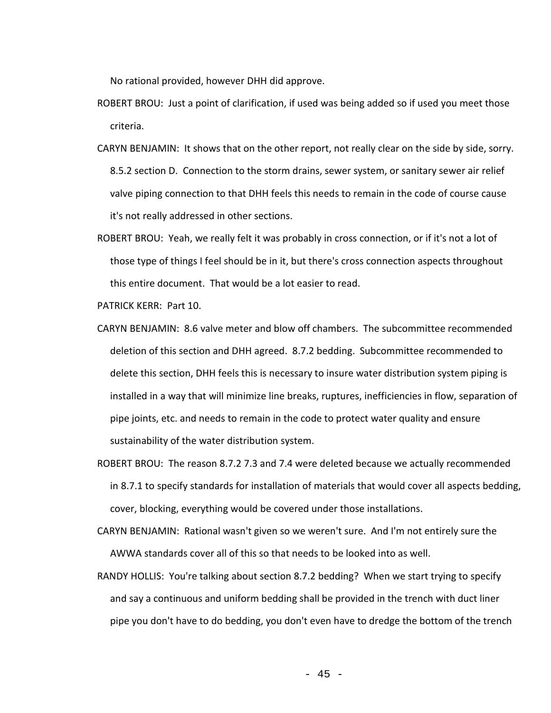No rational provided, however DHH did approve.

- ROBERT BROU: Just a point of clarification, if used was being added so if used you meet those criteria.
- CARYN BENJAMIN: It shows that on the other report, not really clear on the side by side, sorry. 8.5.2 section D. Connection to the storm drains, sewer system, or sanitary sewer air relief valve piping connection to that DHH feels this needs to remain in the code of course cause it's not really addressed in other sections.
- ROBERT BROU: Yeah, we really felt it was probably in cross connection, or if it's not a lot of those type of things I feel should be in it, but there's cross connection aspects throughout this entire document. That would be a lot easier to read.

PATRICK KERR: Part 10.

- CARYN BENJAMIN: 8.6 valve meter and blow off chambers. The subcommittee recommended deletion of this section and DHH agreed. 8.7.2 bedding. Subcommittee recommended to delete this section, DHH feels this is necessary to insure water distribution system piping is installed in a way that will minimize line breaks, ruptures, inefficiencies in flow, separation of pipe joints, etc. and needs to remain in the code to protect water quality and ensure sustainability of the water distribution system.
- ROBERT BROU: The reason 8.7.2 7.3 and 7.4 were deleted because we actually recommended in 8.7.1 to specify standards for installation of materials that would cover all aspects bedding, cover, blocking, everything would be covered under those installations.
- CARYN BENJAMIN: Rational wasn't given so we weren't sure. And I'm not entirely sure the AWWA standards cover all of this so that needs to be looked into as well.
- RANDY HOLLIS: You're talking about section 8.7.2 bedding? When we start trying to specify and say a continuous and uniform bedding shall be provided in the trench with duct liner pipe you don't have to do bedding, you don't even have to dredge the bottom of the trench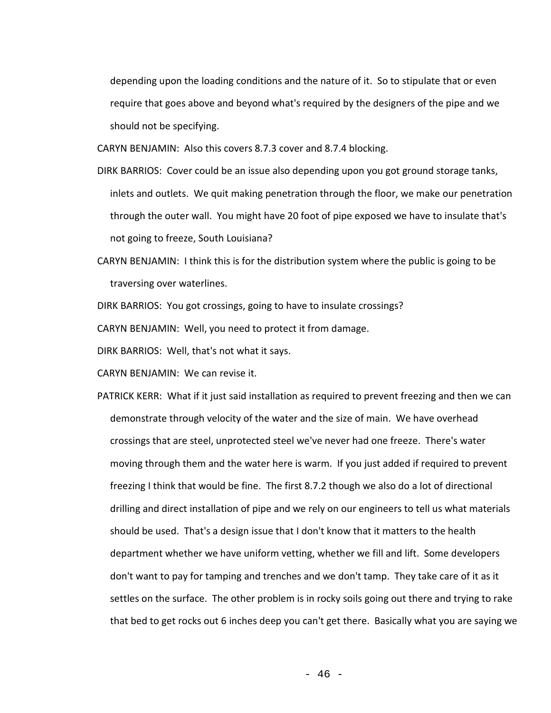depending upon the loading conditions and the nature of it. So to stipulate that or even require that goes above and beyond what's required by the designers of the pipe and we should not be specifying.

CARYN BENJAMIN: Also this covers 8.7.3 cover and 8.7.4 blocking.

- DIRK BARRIOS: Cover could be an issue also depending upon you got ground storage tanks, inlets and outlets. We quit making penetration through the floor, we make our penetration through the outer wall. You might have 20 foot of pipe exposed we have to insulate that's not going to freeze, South Louisiana?
- CARYN BENJAMIN: I think this is for the distribution system where the public is going to be traversing over waterlines.

DIRK BARRIOS: You got crossings, going to have to insulate crossings?

CARYN BENJAMIN: Well, you need to protect it from damage.

DIRK BARRIOS: Well, that's not what it says.

CARYN BENJAMIN: We can revise it.

PATRICK KERR: What if it just said installation as required to prevent freezing and then we can demonstrate through velocity of the water and the size of main. We have overhead crossings that are steel, unprotected steel we've never had one freeze. There's water moving through them and the water here is warm. If you just added if required to prevent freezing I think that would be fine. The first 8.7.2 though we also do a lot of directional drilling and direct installation of pipe and we rely on our engineers to tell us what materials should be used. That's a design issue that I don't know that it matters to the health department whether we have uniform vetting, whether we fill and lift. Some developers don't want to pay for tamping and trenches and we don't tamp. They take care of it as it settles on the surface. The other problem is in rocky soils going out there and trying to rake that bed to get rocks out 6 inches deep you can't get there. Basically what you are saying we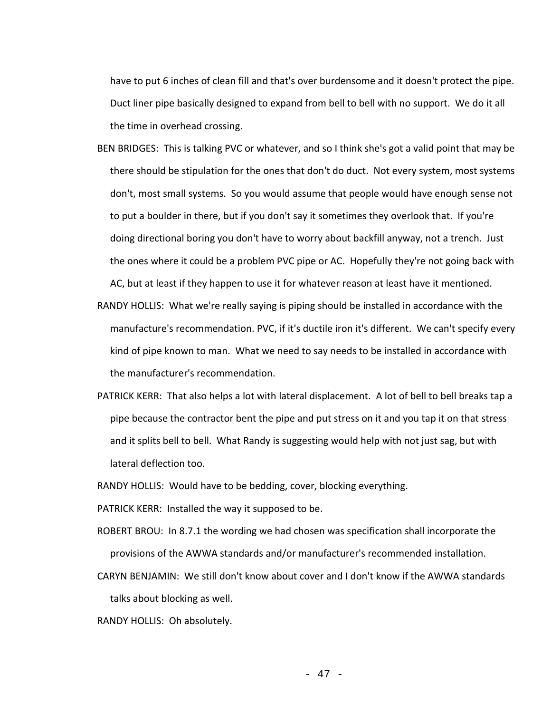have to put 6 inches of clean fill and that's over burdensome and it doesn't protect the pipe. Duct liner pipe basically designed to expand from bell to bell with no support. We do it all the time in overhead crossing.

- BEN BRIDGES: This is talking PVC or whatever, and so I think she's got a valid point that may be there should be stipulation for the ones that don't do duct. Not every system, most systems don't, most small systems. So you would assume that people would have enough sense not to put a boulder in there, but if you don't say it sometimes they overlook that. If you're doing directional boring you don't have to worry about backfill anyway, not a trench. Just the ones where it could be a problem PVC pipe or AC. Hopefully they're not going back with AC, but at least if they happen to use it for whatever reason at least have it mentioned.
- RANDY HOLLIS: What we're really saying is piping should be installed in accordance with the manufacture's recommendation. PVC, if it's ductile iron it's different. We can't specify every kind of pipe known to man. What we need to say needs to be installed in accordance with the manufacturer's recommendation.
- PATRICK KERR: That also helps a lot with lateral displacement. A lot of bell to bell breaks tap a pipe because the contractor bent the pipe and put stress on it and you tap it on that stress and it splits bell to bell. What Randy is suggesting would help with not just sag, but with lateral deflection too.
- RANDY HOLLIS: Would have to be bedding, cover, blocking everything.
- PATRICK KERR: Installed the way it supposed to be.
- ROBERT BROU: In 8.7.1 the wording we had chosen was specification shall incorporate the provisions of the AWWA standards and/or manufacturer's recommended installation.
- CARYN BENJAMIN: We still don't know about cover and I don't know if the AWWA standards talks about blocking as well.
- RANDY HOLLIS: Oh absolutely.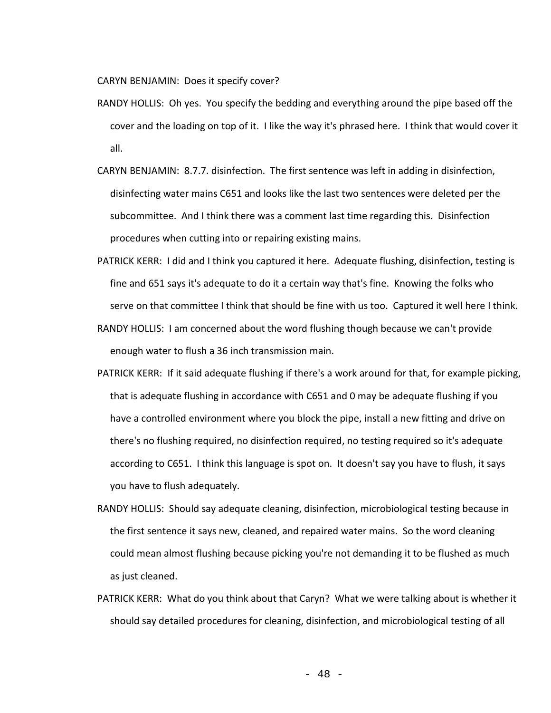CARYN BENJAMIN: Does it specify cover?

- RANDY HOLLIS: Oh yes. You specify the bedding and everything around the pipe based off the cover and the loading on top of it. I like the way it's phrased here. I think that would cover it all.
- CARYN BENJAMIN: 8.7.7. disinfection. The first sentence was left in adding in disinfection, disinfecting water mains C651 and looks like the last two sentences were deleted per the subcommittee. And I think there was a comment last time regarding this. Disinfection procedures when cutting into or repairing existing mains.
- PATRICK KERR: I did and I think you captured it here. Adequate flushing, disinfection, testing is fine and 651 says it's adequate to do it a certain way that's fine. Knowing the folks who serve on that committee I think that should be fine with us too. Captured it well here I think.
- RANDY HOLLIS: I am concerned about the word flushing though because we can't provide enough water to flush a 36 inch transmission main.
- PATRICK KERR: If it said adequate flushing if there's a work around for that, for example picking, that is adequate flushing in accordance with C651 and 0 may be adequate flushing if you have a controlled environment where you block the pipe, install a new fitting and drive on there's no flushing required, no disinfection required, no testing required so it's adequate according to C651. I think this language is spot on. It doesn't say you have to flush, it says you have to flush adequately.
- RANDY HOLLIS: Should say adequate cleaning, disinfection, microbiological testing because in the first sentence it says new, cleaned, and repaired water mains. So the word cleaning could mean almost flushing because picking you're not demanding it to be flushed as much as just cleaned.
- PATRICK KERR: What do you think about that Caryn? What we were talking about is whether it should say detailed procedures for cleaning, disinfection, and microbiological testing of all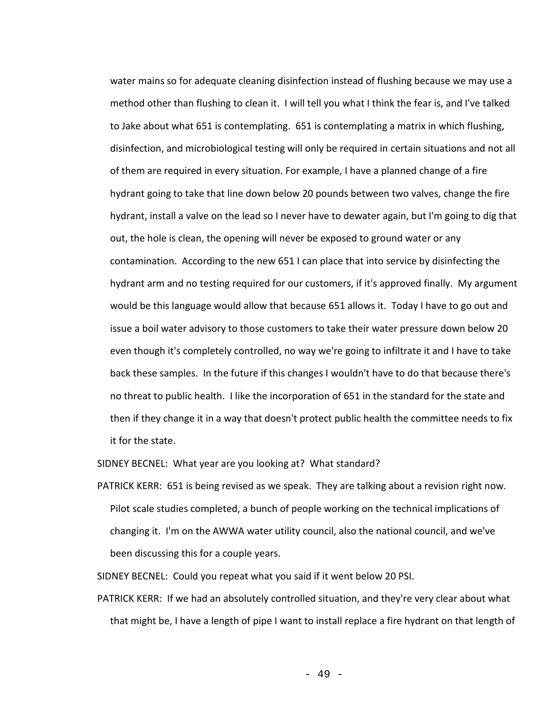water mains so for adequate cleaning disinfection instead of flushing because we may use a method other than flushing to clean it. I will tell you what I think the fear is, and I've talked to Jake about what 651 is contemplating. 651 is contemplating a matrix in which flushing, disinfection, and microbiological testing will only be required in certain situations and not all of them are required in every situation. For example, I have a planned change of a fire hydrant going to take that line down below 20 pounds between two valves, change the fire hydrant, install a valve on the lead so I never have to dewater again, but I'm going to dig that out, the hole is clean, the opening will never be exposed to ground water or any contamination. According to the new 651 I can place that into service by disinfecting the hydrant arm and no testing required for our customers, if it's approved finally. My argument would be this language would allow that because 651 allows it. Today I have to go out and issue a boil water advisory to those customers to take their water pressure down below 20 even though it's completely controlled, no way we're going to infiltrate it and I have to take back these samples. In the future if this changes I wouldn't have to do that because there's no threat to public health. I like the incorporation of 651 in the standard for the state and then if they change it in a way that doesn't protect public health the committee needs to fix it for the state.

SIDNEY BECNEL: What year are you looking at? What standard?

PATRICK KERR: 651 is being revised as we speak. They are talking about a revision right now. Pilot scale studies completed, a bunch of people working on the technical implications of changing it. I'm on the AWWA water utility council, also the national council, and we've been discussing this for a couple years.

SIDNEY BECNEL: Could you repeat what you said if it went below 20 PSI.

PATRICK KERR: If we had an absolutely controlled situation, and they're very clear about what that might be, I have a length of pipe I want to install replace a fire hydrant on that length of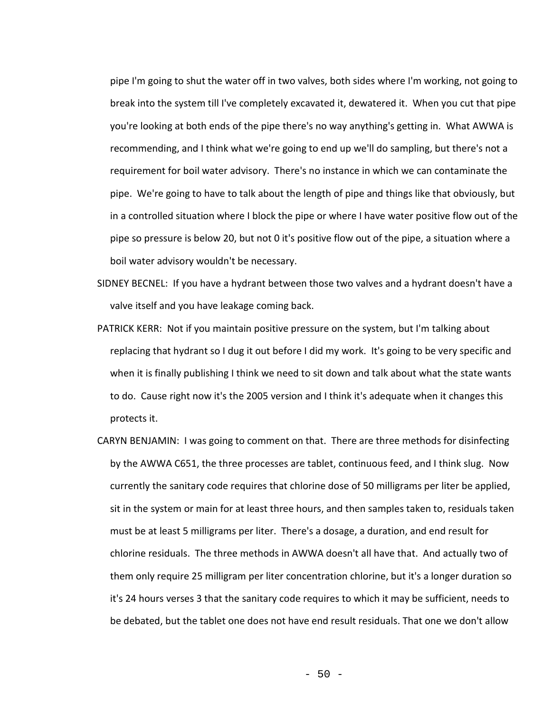pipe I'm going to shut the water off in two valves, both sides where I'm working, not going to break into the system till I've completely excavated it, dewatered it. When you cut that pipe you're looking at both ends of the pipe there's no way anything's getting in. What AWWA is recommending, and I think what we're going to end up we'll do sampling, but there's not a requirement for boil water advisory. There's no instance in which we can contaminate the pipe. We're going to have to talk about the length of pipe and things like that obviously, but in a controlled situation where I block the pipe or where I have water positive flow out of the pipe so pressure is below 20, but not 0 it's positive flow out of the pipe, a situation where a boil water advisory wouldn't be necessary.

- SIDNEY BECNEL: If you have a hydrant between those two valves and a hydrant doesn't have a valve itself and you have leakage coming back.
- PATRICK KERR: Not if you maintain positive pressure on the system, but I'm talking about replacing that hydrant so I dug it out before I did my work. It's going to be very specific and when it is finally publishing I think we need to sit down and talk about what the state wants to do. Cause right now it's the 2005 version and I think it's adequate when it changes this protects it.
- CARYN BENJAMIN: I was going to comment on that. There are three methods for disinfecting by the AWWA C651, the three processes are tablet, continuous feed, and I think slug. Now currently the sanitary code requires that chlorine dose of 50 milligrams per liter be applied, sit in the system or main for at least three hours, and then samples taken to, residuals taken must be at least 5 milligrams per liter. There's a dosage, a duration, and end result for chlorine residuals. The three methods in AWWA doesn't all have that. And actually two of them only require 25 milligram per liter concentration chlorine, but it's a longer duration so it's 24 hours verses 3 that the sanitary code requires to which it may be sufficient, needs to be debated, but the tablet one does not have end result residuals. That one we don't allow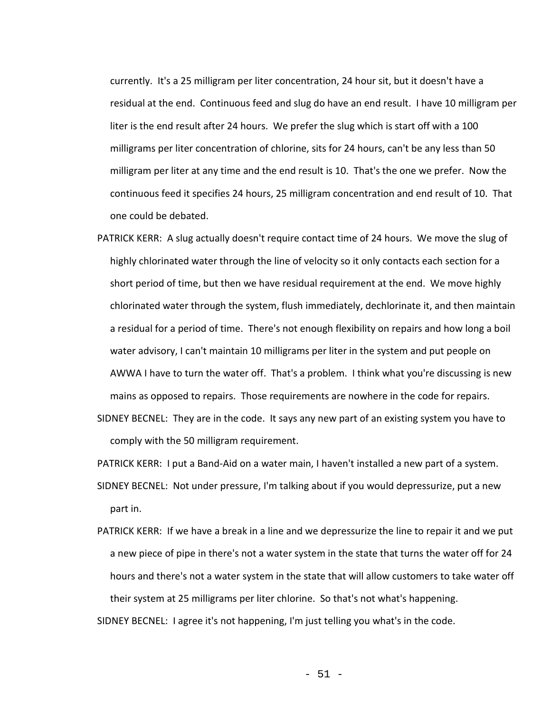currently. It's a 25 milligram per liter concentration, 24 hour sit, but it doesn't have a residual at the end. Continuous feed and slug do have an end result. I have 10 milligram per liter is the end result after 24 hours. We prefer the slug which is start off with a 100 milligrams per liter concentration of chlorine, sits for 24 hours, can't be any less than 50 milligram per liter at any time and the end result is 10. That's the one we prefer. Now the continuous feed it specifies 24 hours, 25 milligram concentration and end result of 10. That one could be debated.

- PATRICK KERR: A slug actually doesn't require contact time of 24 hours. We move the slug of highly chlorinated water through the line of velocity so it only contacts each section for a short period of time, but then we have residual requirement at the end. We move highly chlorinated water through the system, flush immediately, dechlorinate it, and then maintain a residual for a period of time. There's not enough flexibility on repairs and how long a boil water advisory, I can't maintain 10 milligrams per liter in the system and put people on AWWA I have to turn the water off. That's a problem. I think what you're discussing is new mains as opposed to repairs. Those requirements are nowhere in the code for repairs.
- SIDNEY BECNEL: They are in the code. It says any new part of an existing system you have to comply with the 50 milligram requirement.

PATRICK KERR: I put a Band-Aid on a water main, I haven't installed a new part of a system.

- SIDNEY BECNEL: Not under pressure, I'm talking about if you would depressurize, put a new part in.
- PATRICK KERR: If we have a break in a line and we depressurize the line to repair it and we put a new piece of pipe in there's not a water system in the state that turns the water off for 24 hours and there's not a water system in the state that will allow customers to take water off their system at 25 milligrams per liter chlorine. So that's not what's happening.

SIDNEY BECNEL: I agree it's not happening, I'm just telling you what's in the code.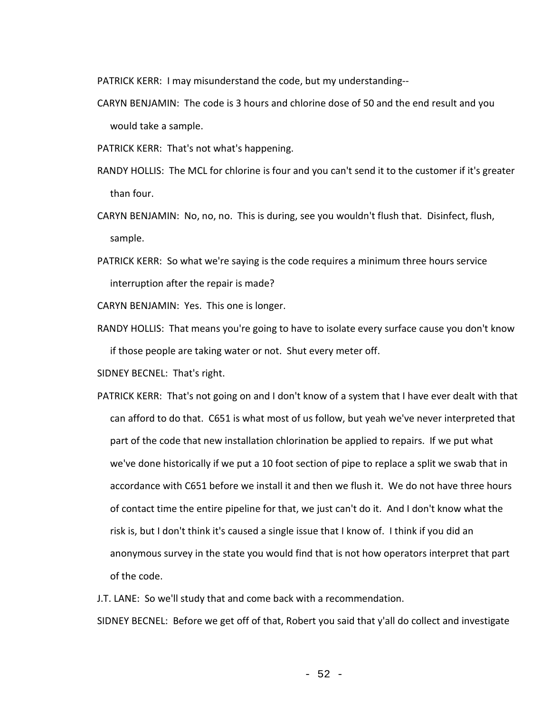PATRICK KERR: I may misunderstand the code, but my understanding--

- CARYN BENJAMIN: The code is 3 hours and chlorine dose of 50 and the end result and you would take a sample.
- PATRICK KERR: That's not what's happening.
- RANDY HOLLIS: The MCL for chlorine is four and you can't send it to the customer if it's greater than four.
- CARYN BENJAMIN: No, no, no. This is during, see you wouldn't flush that. Disinfect, flush, sample.
- PATRICK KERR: So what we're saying is the code requires a minimum three hours service interruption after the repair is made?

CARYN BENJAMIN: Yes. This one is longer.

RANDY HOLLIS: That means you're going to have to isolate every surface cause you don't know if those people are taking water or not. Shut every meter off.

SIDNEY BECNEL: That's right.

PATRICK KERR: That's not going on and I don't know of a system that I have ever dealt with that can afford to do that. C651 is what most of us follow, but yeah we've never interpreted that part of the code that new installation chlorination be applied to repairs. If we put what we've done historically if we put a 10 foot section of pipe to replace a split we swab that in accordance with C651 before we install it and then we flush it. We do not have three hours of contact time the entire pipeline for that, we just can't do it. And I don't know what the risk is, but I don't think it's caused a single issue that I know of. I think if you did an anonymous survey in the state you would find that is not how operators interpret that part of the code.

J.T. LANE: So we'll study that and come back with a recommendation.

SIDNEY BECNEL: Before we get off of that, Robert you said that y'all do collect and investigate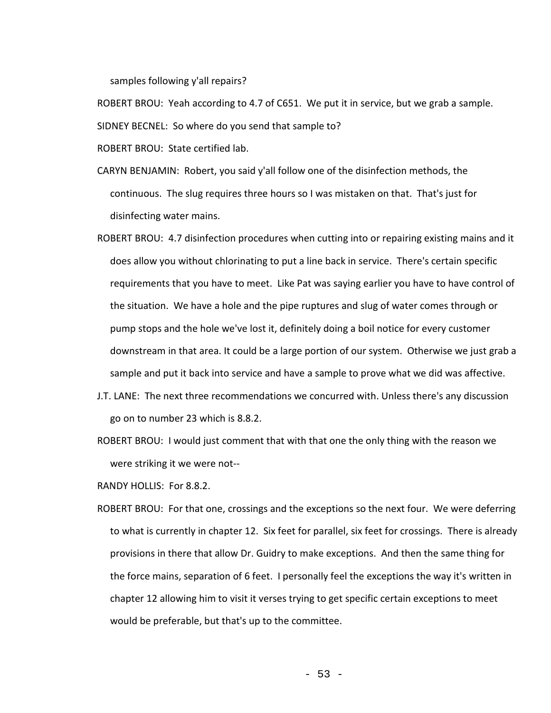samples following y'all repairs?

ROBERT BROU: Yeah according to 4.7 of C651. We put it in service, but we grab a sample. SIDNEY BECNEL: So where do you send that sample to?

ROBERT BROU: State certified lab.

- CARYN BENJAMIN: Robert, you said y'all follow one of the disinfection methods, the continuous. The slug requires three hours so I was mistaken on that. That's just for disinfecting water mains.
- ROBERT BROU: 4.7 disinfection procedures when cutting into or repairing existing mains and it does allow you without chlorinating to put a line back in service. There's certain specific requirements that you have to meet. Like Pat was saying earlier you have to have control of the situation. We have a hole and the pipe ruptures and slug of water comes through or pump stops and the hole we've lost it, definitely doing a boil notice for every customer downstream in that area. It could be a large portion of our system. Otherwise we just grab a sample and put it back into service and have a sample to prove what we did was affective.
- J.T. LANE: The next three recommendations we concurred with. Unless there's any discussion go on to number 23 which is 8.8.2.
- ROBERT BROU: I would just comment that with that one the only thing with the reason we were striking it we were not--

RANDY HOLLIS: For 8.8.2.

ROBERT BROU: For that one, crossings and the exceptions so the next four. We were deferring to what is currently in chapter 12. Six feet for parallel, six feet for crossings. There is already provisions in there that allow Dr. Guidry to make exceptions. And then the same thing for the force mains, separation of 6 feet. I personally feel the exceptions the way it's written in chapter 12 allowing him to visit it verses trying to get specific certain exceptions to meet would be preferable, but that's up to the committee.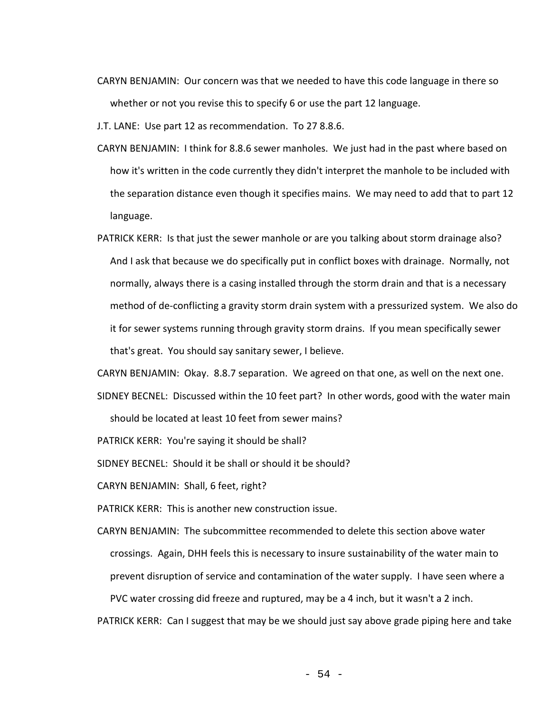CARYN BENJAMIN: Our concern was that we needed to have this code language in there so whether or not you revise this to specify 6 or use the part 12 language.

J.T. LANE: Use part 12 as recommendation. To 27 8.8.6.

- CARYN BENJAMIN: I think for 8.8.6 sewer manholes. We just had in the past where based on how it's written in the code currently they didn't interpret the manhole to be included with the separation distance even though it specifies mains. We may need to add that to part 12 language.
- PATRICK KERR: Is that just the sewer manhole or are you talking about storm drainage also? And I ask that because we do specifically put in conflict boxes with drainage. Normally, not normally, always there is a casing installed through the storm drain and that is a necessary method of de-conflicting a gravity storm drain system with a pressurized system. We also do it for sewer systems running through gravity storm drains. If you mean specifically sewer that's great. You should say sanitary sewer, I believe.

CARYN BENJAMIN: Okay. 8.8.7 separation. We agreed on that one, as well on the next one.

SIDNEY BECNEL: Discussed within the 10 feet part? In other words, good with the water main should be located at least 10 feet from sewer mains?

PATRICK KERR: You're saying it should be shall?

SIDNEY BECNEL: Should it be shall or should it be should?

CARYN BENJAMIN: Shall, 6 feet, right?

PATRICK KERR: This is another new construction issue.

CARYN BENJAMIN: The subcommittee recommended to delete this section above water crossings. Again, DHH feels this is necessary to insure sustainability of the water main to prevent disruption of service and contamination of the water supply. I have seen where a PVC water crossing did freeze and ruptured, may be a 4 inch, but it wasn't a 2 inch.

PATRICK KERR: Can I suggest that may be we should just say above grade piping here and take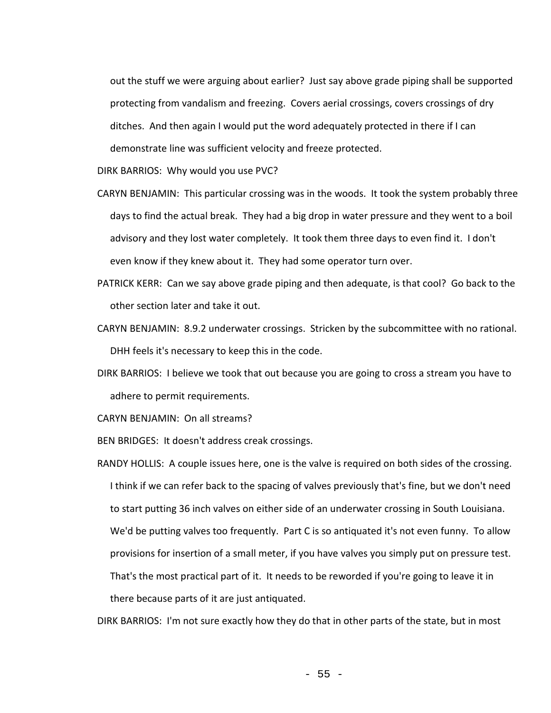out the stuff we were arguing about earlier? Just say above grade piping shall be supported protecting from vandalism and freezing. Covers aerial crossings, covers crossings of dry ditches. And then again I would put the word adequately protected in there if I can demonstrate line was sufficient velocity and freeze protected.

DIRK BARRIOS: Why would you use PVC?

- CARYN BENJAMIN: This particular crossing was in the woods. It took the system probably three days to find the actual break. They had a big drop in water pressure and they went to a boil advisory and they lost water completely. It took them three days to even find it. I don't even know if they knew about it. They had some operator turn over.
- PATRICK KERR: Can we say above grade piping and then adequate, is that cool? Go back to the other section later and take it out.
- CARYN BENJAMIN: 8.9.2 underwater crossings. Stricken by the subcommittee with no rational. DHH feels it's necessary to keep this in the code.
- DIRK BARRIOS: I believe we took that out because you are going to cross a stream you have to adhere to permit requirements.

CARYN BENJAMIN: On all streams?

BEN BRIDGES: It doesn't address creak crossings.

RANDY HOLLIS: A couple issues here, one is the valve is required on both sides of the crossing. I think if we can refer back to the spacing of valves previously that's fine, but we don't need to start putting 36 inch valves on either side of an underwater crossing in South Louisiana. We'd be putting valves too frequently. Part C is so antiquated it's not even funny. To allow provisions for insertion of a small meter, if you have valves you simply put on pressure test. That's the most practical part of it. It needs to be reworded if you're going to leave it in there because parts of it are just antiquated.

DIRK BARRIOS: I'm not sure exactly how they do that in other parts of the state, but in most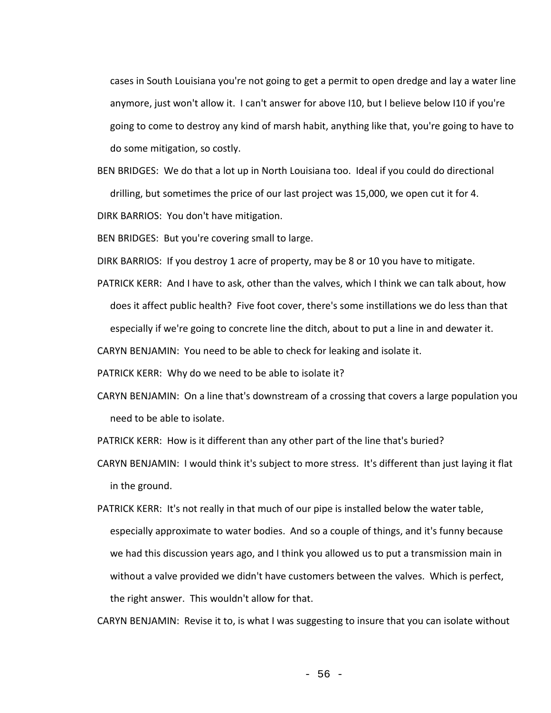cases in South Louisiana you're not going to get a permit to open dredge and lay a water line anymore, just won't allow it. I can't answer for above I10, but I believe below I10 if you're going to come to destroy any kind of marsh habit, anything like that, you're going to have to do some mitigation, so costly.

BEN BRIDGES: We do that a lot up in North Louisiana too. Ideal if you could do directional drilling, but sometimes the price of our last project was 15,000, we open cut it for 4.

DIRK BARRIOS: You don't have mitigation.

BEN BRIDGES: But you're covering small to large.

DIRK BARRIOS: If you destroy 1 acre of property, may be 8 or 10 you have to mitigate.

PATRICK KERR: And I have to ask, other than the valves, which I think we can talk about, how does it affect public health? Five foot cover, there's some instillations we do less than that especially if we're going to concrete line the ditch, about to put a line in and dewater it.

CARYN BENJAMIN: You need to be able to check for leaking and isolate it.

PATRICK KERR: Why do we need to be able to isolate it?

CARYN BENJAMIN: On a line that's downstream of a crossing that covers a large population you need to be able to isolate.

PATRICK KERR: How is it different than any other part of the line that's buried?

- CARYN BENJAMIN: I would think it's subject to more stress. It's different than just laying it flat in the ground.
- PATRICK KERR: It's not really in that much of our pipe is installed below the water table, especially approximate to water bodies. And so a couple of things, and it's funny because we had this discussion years ago, and I think you allowed us to put a transmission main in without a valve provided we didn't have customers between the valves. Which is perfect, the right answer. This wouldn't allow for that.

CARYN BENJAMIN: Revise it to, is what I was suggesting to insure that you can isolate without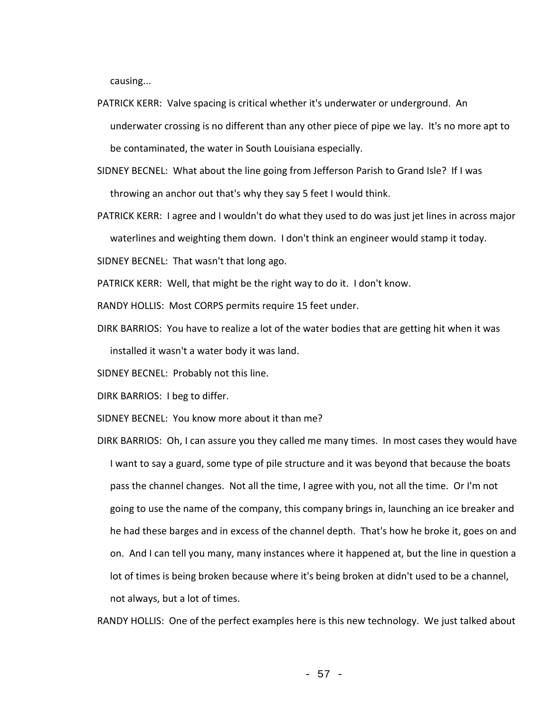causing...

- PATRICK KERR: Valve spacing is critical whether it's underwater or underground. An underwater crossing is no different than any other piece of pipe we lay. It's no more apt to be contaminated, the water in South Louisiana especially.
- SIDNEY BECNEL: What about the line going from Jefferson Parish to Grand Isle? If I was throwing an anchor out that's why they say 5 feet I would think.
- PATRICK KERR: I agree and I wouldn't do what they used to do was just jet lines in across major waterlines and weighting them down. I don't think an engineer would stamp it today.

SIDNEY BECNEL: That wasn't that long ago.

PATRICK KERR: Well, that might be the right way to do it. I don't know.

RANDY HOLLIS: Most CORPS permits require 15 feet under.

DIRK BARRIOS: You have to realize a lot of the water bodies that are getting hit when it was installed it wasn't a water body it was land.

SIDNEY BECNEL: Probably not this line.

DIRK BARRIOS: I beg to differ.

SIDNEY BECNEL: You know more about it than me?

DIRK BARRIOS: Oh, I can assure you they called me many times. In most cases they would have I want to say a guard, some type of pile structure and it was beyond that because the boats pass the channel changes. Not all the time, I agree with you, not all the time. Or I'm not going to use the name of the company, this company brings in, launching an ice breaker and he had these barges and in excess of the channel depth. That's how he broke it, goes on and on. And I can tell you many, many instances where it happened at, but the line in question a lot of times is being broken because where it's being broken at didn't used to be a channel, not always, but a lot of times.

RANDY HOLLIS: One of the perfect examples here is this new technology. We just talked about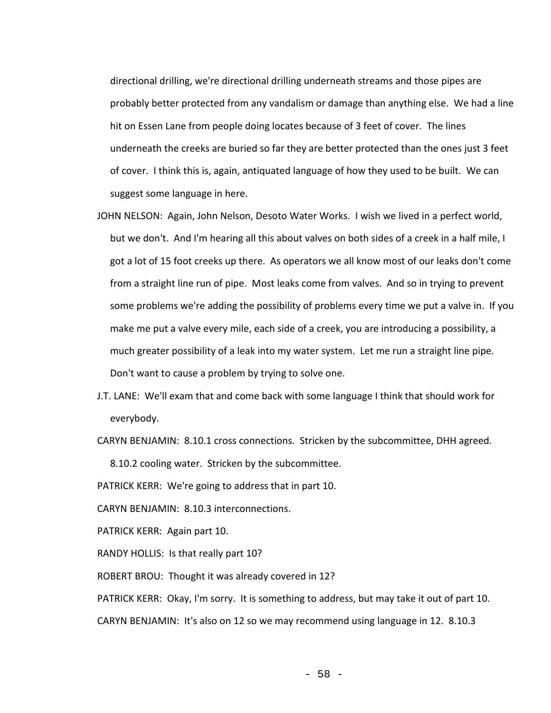directional drilling, we're directional drilling underneath streams and those pipes are probably better protected from any vandalism or damage than anything else. We had a line hit on Essen Lane from people doing locates because of 3 feet of cover. The lines underneath the creeks are buried so far they are better protected than the ones just 3 feet of cover. I think this is, again, antiquated language of how they used to be built. We can suggest some language in here.

- JOHN NELSON: Again, John Nelson, Desoto Water Works. I wish we lived in a perfect world, but we don't. And I'm hearing all this about valves on both sides of a creek in a half mile, I got a lot of 15 foot creeks up there. As operators we all know most of our leaks don't come from a straight line run of pipe. Most leaks come from valves. And so in trying to prevent some problems we're adding the possibility of problems every time we put a valve in. If you make me put a valve every mile, each side of a creek, you are introducing a possibility, a much greater possibility of a leak into my water system. Let me run a straight line pipe. Don't want to cause a problem by trying to solve one.
- J.T. LANE: We'll exam that and come back with some language I think that should work for everybody.
- CARYN BENJAMIN: 8.10.1 cross connections. Stricken by the subcommittee, DHH agreed.

8.10.2 cooling water. Stricken by the subcommittee.

PATRICK KERR: We're going to address that in part 10.

CARYN BENJAMIN: 8.10.3 interconnections.

PATRICK KERR: Again part 10.

RANDY HOLLIS: Is that really part 10?

ROBERT BROU: Thought it was already covered in 12?

PATRICK KERR: Okay, I'm sorry. It is something to address, but may take it out of part 10. CARYN BENJAMIN: It's also on 12 so we may recommend using language in 12. 8.10.3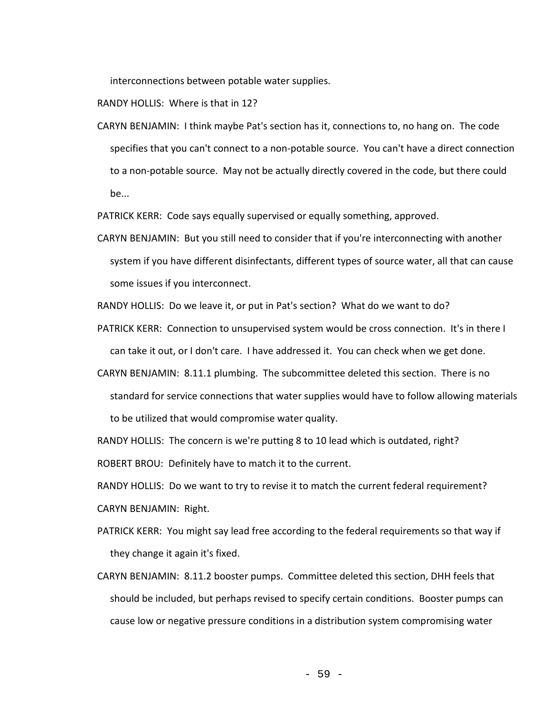interconnections between potable water supplies.

RANDY HOLLIS: Where is that in 12?

CARYN BENJAMIN: I think maybe Pat's section has it, connections to, no hang on. The code specifies that you can't connect to a non-potable source. You can't have a direct connection to a non-potable source. May not be actually directly covered in the code, but there could be...

PATRICK KERR: Code says equally supervised or equally something, approved.

CARYN BENJAMIN: But you still need to consider that if you're interconnecting with another system if you have different disinfectants, different types of source water, all that can cause some issues if you interconnect.

RANDY HOLLIS: Do we leave it, or put in Pat's section? What do we want to do?

- PATRICK KERR: Connection to unsupervised system would be cross connection. It's in there I can take it out, or I don't care. I have addressed it. You can check when we get done.
- CARYN BENJAMIN: 8.11.1 plumbing. The subcommittee deleted this section. There is no standard for service connections that water supplies would have to follow allowing materials to be utilized that would compromise water quality.

RANDY HOLLIS: The concern is we're putting 8 to 10 lead which is outdated, right?

ROBERT BROU: Definitely have to match it to the current.

RANDY HOLLIS: Do we want to try to revise it to match the current federal requirement? CARYN BENJAMIN: Right.

- PATRICK KERR: You might say lead free according to the federal requirements so that way if they change it again it's fixed.
- CARYN BENJAMIN: 8.11.2 booster pumps. Committee deleted this section, DHH feels that should be included, but perhaps revised to specify certain conditions. Booster pumps can cause low or negative pressure conditions in a distribution system compromising water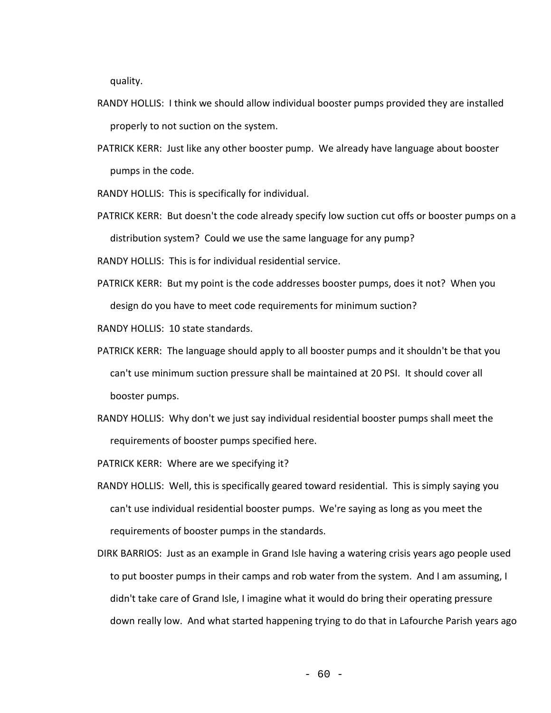quality.

- RANDY HOLLIS: I think we should allow individual booster pumps provided they are installed properly to not suction on the system.
- PATRICK KERR: Just like any other booster pump. We already have language about booster pumps in the code.
- RANDY HOLLIS: This is specifically for individual.
- PATRICK KERR: But doesn't the code already specify low suction cut offs or booster pumps on a distribution system? Could we use the same language for any pump?

RANDY HOLLIS: This is for individual residential service.

PATRICK KERR: But my point is the code addresses booster pumps, does it not? When you design do you have to meet code requirements for minimum suction?

RANDY HOLLIS: 10 state standards.

- PATRICK KERR: The language should apply to all booster pumps and it shouldn't be that you can't use minimum suction pressure shall be maintained at 20 PSI. It should cover all booster pumps.
- RANDY HOLLIS: Why don't we just say individual residential booster pumps shall meet the requirements of booster pumps specified here.

PATRICK KERR: Where are we specifying it?

- RANDY HOLLIS: Well, this is specifically geared toward residential. This is simply saying you can't use individual residential booster pumps. We're saying as long as you meet the requirements of booster pumps in the standards.
- DIRK BARRIOS: Just as an example in Grand Isle having a watering crisis years ago people used to put booster pumps in their camps and rob water from the system. And I am assuming, I didn't take care of Grand Isle, I imagine what it would do bring their operating pressure down really low. And what started happening trying to do that in Lafourche Parish years ago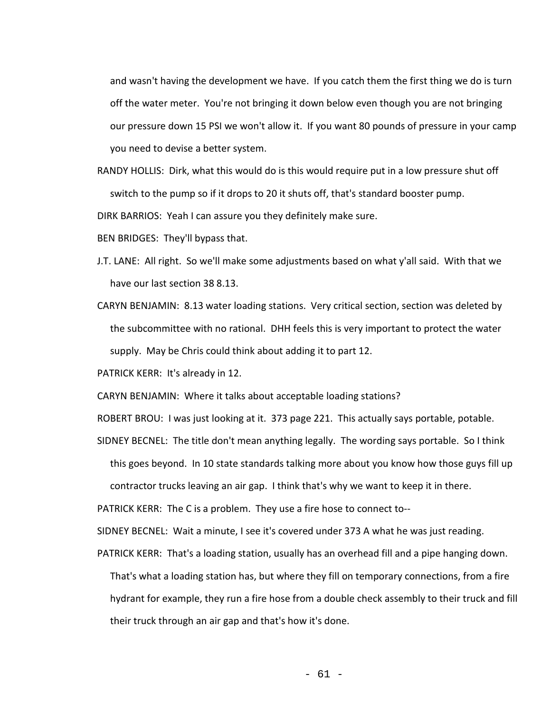and wasn't having the development we have. If you catch them the first thing we do is turn off the water meter. You're not bringing it down below even though you are not bringing our pressure down 15 PSI we won't allow it. If you want 80 pounds of pressure in your camp you need to devise a better system.

RANDY HOLLIS: Dirk, what this would do is this would require put in a low pressure shut off switch to the pump so if it drops to 20 it shuts off, that's standard booster pump.

DIRK BARRIOS: Yeah I can assure you they definitely make sure.

BEN BRIDGES: They'll bypass that.

- J.T. LANE: All right. So we'll make some adjustments based on what y'all said. With that we have our last section 38 8.13.
- CARYN BENJAMIN: 8.13 water loading stations. Very critical section, section was deleted by the subcommittee with no rational. DHH feels this is very important to protect the water supply. May be Chris could think about adding it to part 12.

PATRICK KERR: It's already in 12.

CARYN BENJAMIN: Where it talks about acceptable loading stations?

ROBERT BROU: I was just looking at it. 373 page 221. This actually says portable, potable.

SIDNEY BECNEL: The title don't mean anything legally. The wording says portable. So I think this goes beyond. In 10 state standards talking more about you know how those guys fill up contractor trucks leaving an air gap. I think that's why we want to keep it in there.

PATRICK KERR: The C is a problem. They use a fire hose to connect to--

SIDNEY BECNEL: Wait a minute, I see it's covered under 373 A what he was just reading.

PATRICK KERR: That's a loading station, usually has an overhead fill and a pipe hanging down. That's what a loading station has, but where they fill on temporary connections, from a fire hydrant for example, they run a fire hose from a double check assembly to their truck and fill their truck through an air gap and that's how it's done.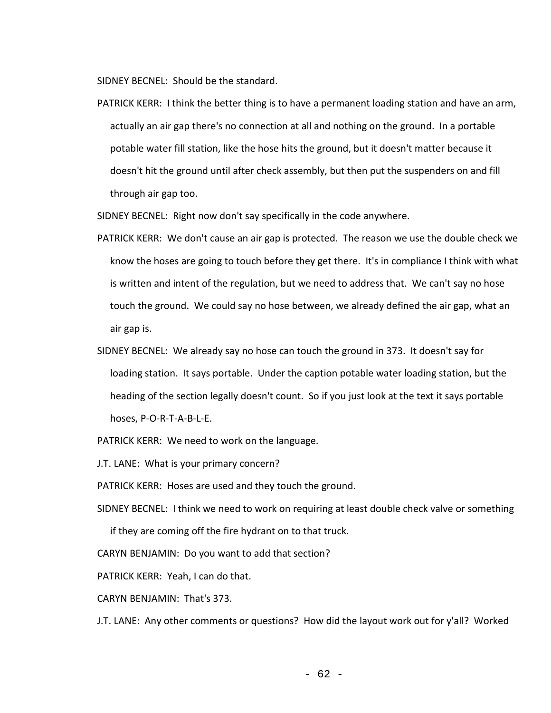SIDNEY BECNEL: Should be the standard.

PATRICK KERR: I think the better thing is to have a permanent loading station and have an arm, actually an air gap there's no connection at all and nothing on the ground. In a portable potable water fill station, like the hose hits the ground, but it doesn't matter because it doesn't hit the ground until after check assembly, but then put the suspenders on and fill through air gap too.

SIDNEY BECNEL: Right now don't say specifically in the code anywhere.

- PATRICK KERR: We don't cause an air gap is protected. The reason we use the double check we know the hoses are going to touch before they get there. It's in compliance I think with what is written and intent of the regulation, but we need to address that. We can't say no hose touch the ground. We could say no hose between, we already defined the air gap, what an air gap is.
- SIDNEY BECNEL: We already say no hose can touch the ground in 373. It doesn't say for loading station. It says portable. Under the caption potable water loading station, but the heading of the section legally doesn't count. So if you just look at the text it says portable hoses, P-O-R-T-A-B-L-E.

PATRICK KERR: We need to work on the language.

J.T. LANE: What is your primary concern?

PATRICK KERR: Hoses are used and they touch the ground.

SIDNEY BECNEL: I think we need to work on requiring at least double check valve or something

if they are coming off the fire hydrant on to that truck.

CARYN BENJAMIN: Do you want to add that section?

PATRICK KERR: Yeah, I can do that.

CARYN BENJAMIN: That's 373.

J.T. LANE: Any other comments or questions? How did the layout work out for y'all? Worked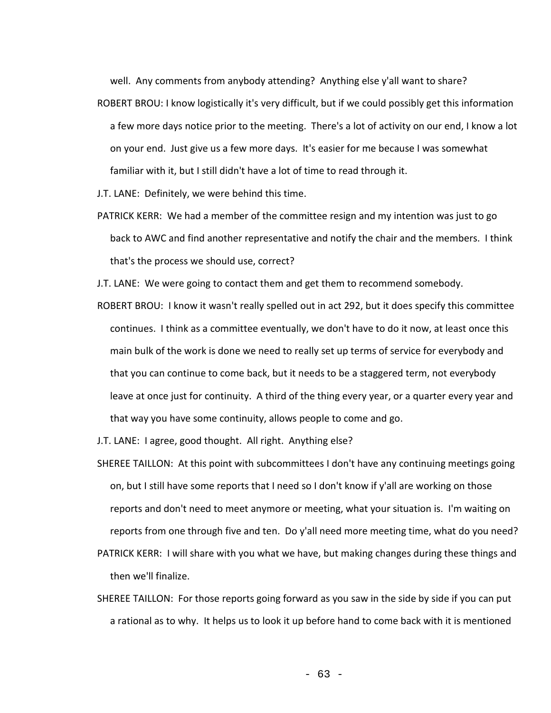well. Any comments from anybody attending? Anything else y'all want to share?

- ROBERT BROU: I know logistically it's very difficult, but if we could possibly get this information a few more days notice prior to the meeting. There's a lot of activity on our end, I know a lot on your end. Just give us a few more days. It's easier for me because I was somewhat familiar with it, but I still didn't have a lot of time to read through it.
- J.T. LANE: Definitely, we were behind this time.
- PATRICK KERR: We had a member of the committee resign and my intention was just to go back to AWC and find another representative and notify the chair and the members. I think that's the process we should use, correct?

J.T. LANE: We were going to contact them and get them to recommend somebody.

ROBERT BROU: I know it wasn't really spelled out in act 292, but it does specify this committee continues. I think as a committee eventually, we don't have to do it now, at least once this main bulk of the work is done we need to really set up terms of service for everybody and that you can continue to come back, but it needs to be a staggered term, not everybody leave at once just for continuity. A third of the thing every year, or a quarter every year and that way you have some continuity, allows people to come and go.

J.T. LANE: I agree, good thought. All right. Anything else?

- SHEREE TAILLON: At this point with subcommittees I don't have any continuing meetings going on, but I still have some reports that I need so I don't know if y'all are working on those reports and don't need to meet anymore or meeting, what your situation is. I'm waiting on reports from one through five and ten. Do y'all need more meeting time, what do you need?
- PATRICK KERR: I will share with you what we have, but making changes during these things and then we'll finalize.
- SHEREE TAILLON: For those reports going forward as you saw in the side by side if you can put a rational as to why. It helps us to look it up before hand to come back with it is mentioned